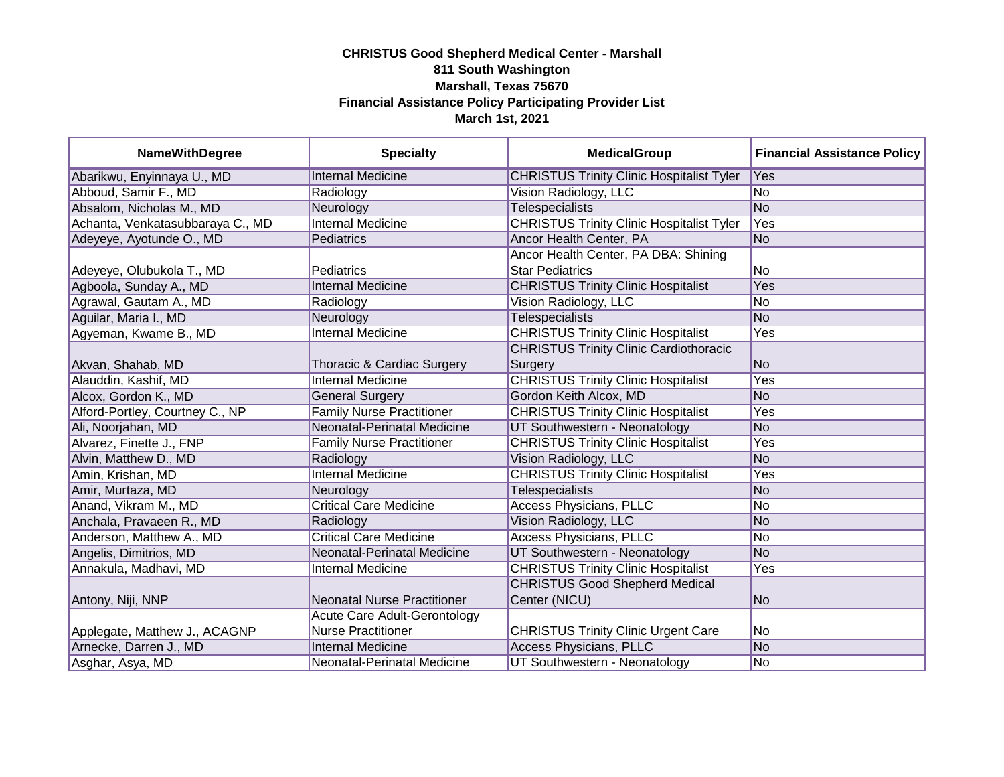| <b>NameWithDegree</b>            | <b>Specialty</b>                   | <b>MedicalGroup</b>                              | <b>Financial Assistance Policy</b> |
|----------------------------------|------------------------------------|--------------------------------------------------|------------------------------------|
| Abarikwu, Enyinnaya U., MD       | <b>Internal Medicine</b>           | <b>CHRISTUS Trinity Clinic Hospitalist Tyler</b> | Yes                                |
| Abboud, Samir F., MD             | Radiology                          | Vision Radiology, LLC                            | No                                 |
| Absalom, Nicholas M., MD         | Neurology                          | <b>Telespecialists</b>                           | <b>No</b>                          |
| Achanta, Venkatasubbaraya C., MD | <b>Internal Medicine</b>           | <b>CHRISTUS Trinity Clinic Hospitalist Tyler</b> | Yes                                |
| Adeyeye, Ayotunde O., MD         | Pediatrics                         | Ancor Health Center, PA                          | No                                 |
|                                  |                                    | Ancor Health Center, PA DBA: Shining             |                                    |
| Adeyeye, Olubukola T., MD        | <b>Pediatrics</b>                  | <b>Star Pediatrics</b>                           | No                                 |
| Agboola, Sunday A., MD           | <b>Internal Medicine</b>           | <b>CHRISTUS Trinity Clinic Hospitalist</b>       | Yes                                |
| Agrawal, Gautam A., MD           | Radiology                          | Vision Radiology, LLC                            | No                                 |
| Aguilar, Maria I., MD            | Neurology                          | <b>Telespecialists</b>                           | No                                 |
| Agyeman, Kwame B., MD            | <b>Internal Medicine</b>           | <b>CHRISTUS Trinity Clinic Hospitalist</b>       | Yes                                |
|                                  |                                    | <b>CHRISTUS Trinity Clinic Cardiothoracic</b>    |                                    |
| Akvan, Shahab, MD                | Thoracic & Cardiac Surgery         | Surgery                                          | No                                 |
| Alauddin, Kashif, MD             | <b>Internal Medicine</b>           | <b>CHRISTUS Trinity Clinic Hospitalist</b>       | Yes                                |
| Alcox, Gordon K., MD             | <b>General Surgery</b>             | Gordon Keith Alcox, MD                           | No                                 |
| Alford-Portley, Courtney C., NP  | <b>Family Nurse Practitioner</b>   | <b>CHRISTUS Trinity Clinic Hospitalist</b>       | Yes                                |
| Ali, Noorjahan, MD               | Neonatal-Perinatal Medicine        | UT Southwestern - Neonatology                    | <b>No</b>                          |
| Alvarez, Finette J., FNP         | <b>Family Nurse Practitioner</b>   | <b>CHRISTUS Trinity Clinic Hospitalist</b>       | Yes                                |
| Alvin, Matthew D., MD            | Radiology                          | Vision Radiology, LLC                            | <b>No</b>                          |
| Amin, Krishan, MD                | <b>Internal Medicine</b>           | <b>CHRISTUS Trinity Clinic Hospitalist</b>       | Yes                                |
| Amir, Murtaza, MD                | Neurology                          | <b>Telespecialists</b>                           | No                                 |
| Anand, Vikram M., MD             | <b>Critical Care Medicine</b>      | <b>Access Physicians, PLLC</b>                   | No                                 |
| Anchala, Pravaeen R., MD         | Radiology                          | Vision Radiology, LLC                            | No                                 |
| Anderson, Matthew A., MD         | <b>Critical Care Medicine</b>      | <b>Access Physicians, PLLC</b>                   | No                                 |
| Angelis, Dimitrios, MD           | Neonatal-Perinatal Medicine        | UT Southwestern - Neonatology                    | No                                 |
| Annakula, Madhavi, MD            | <b>Internal Medicine</b>           | <b>CHRISTUS Trinity Clinic Hospitalist</b>       | Yes                                |
|                                  |                                    | <b>CHRISTUS Good Shepherd Medical</b>            |                                    |
| Antony, Niji, NNP                | <b>Neonatal Nurse Practitioner</b> | Center (NICU)                                    | No                                 |
|                                  | Acute Care Adult-Gerontology       |                                                  |                                    |
| Applegate, Matthew J., ACAGNP    | <b>Nurse Practitioner</b>          | <b>CHRISTUS Trinity Clinic Urgent Care</b>       | No                                 |
| Arnecke, Darren J., MD           | <b>Internal Medicine</b>           | <b>Access Physicians, PLLC</b>                   | No                                 |
| Asghar, Asya, MD                 | Neonatal-Perinatal Medicine        | UT Southwestern - Neonatology                    | No                                 |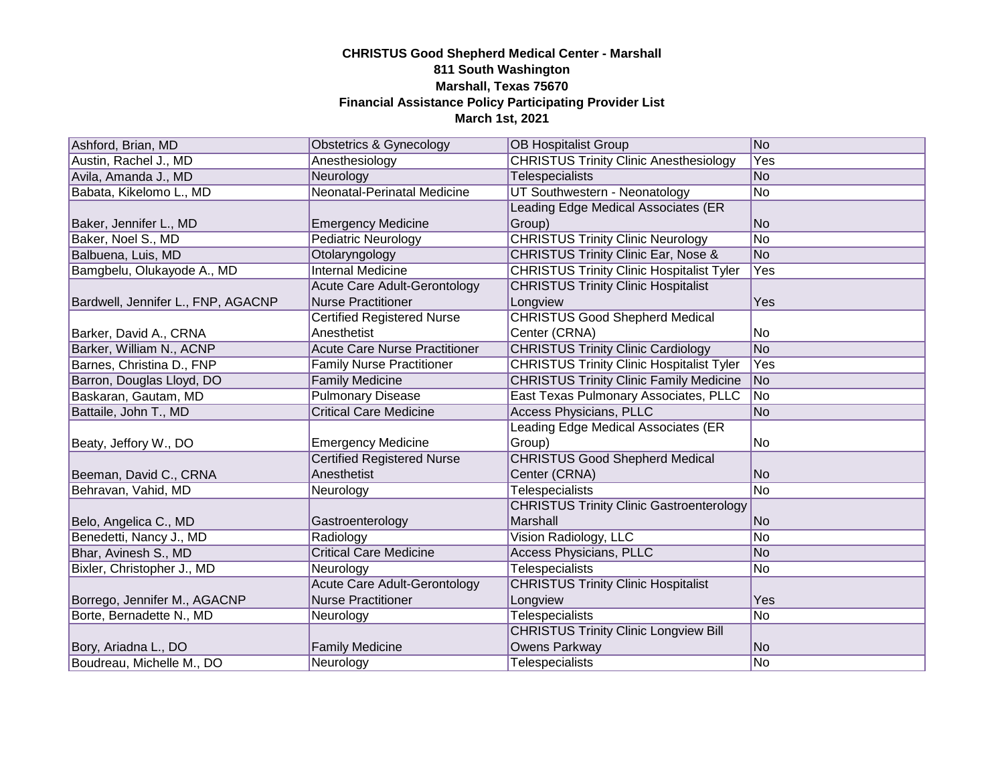| Ashford, Brian, MD                 | Obstetrics & Gynecology              | <b>OB Hospitalist Group</b>                      | No             |
|------------------------------------|--------------------------------------|--------------------------------------------------|----------------|
| Austin, Rachel J., MD              | Anesthesiology                       | <b>CHRISTUS Trinity Clinic Anesthesiology</b>    | Yes            |
| Avila, Amanda J., MD               | Neurology                            | Telespecialists                                  | No             |
| Babata, Kikelomo L., MD            | <b>Neonatal-Perinatal Medicine</b>   | UT Southwestern - Neonatology                    | No             |
|                                    |                                      | Leading Edge Medical Associates (ER              |                |
| Baker, Jennifer L., MD             | <b>Emergency Medicine</b>            | Group)                                           | No             |
| Baker, Noel S., MD                 | <b>Pediatric Neurology</b>           | <b>CHRISTUS Trinity Clinic Neurology</b>         | No             |
| Balbuena, Luis, MD                 | Otolaryngology                       | <b>CHRISTUS Trinity Clinic Ear, Nose &amp;</b>   | No             |
| Bamgbelu, Olukayode A., MD         | <b>Internal Medicine</b>             | <b>CHRISTUS Trinity Clinic Hospitalist Tyler</b> | Yes            |
|                                    | Acute Care Adult-Gerontology         | <b>CHRISTUS Trinity Clinic Hospitalist</b>       |                |
| Bardwell, Jennifer L., FNP, AGACNP | <b>Nurse Practitioner</b>            | Longview                                         | Yes            |
|                                    | <b>Certified Registered Nurse</b>    | <b>CHRISTUS Good Shepherd Medical</b>            |                |
| Barker, David A., CRNA             | Anesthetist                          | Center (CRNA)                                    | No.            |
| Barker, William N., ACNP           | <b>Acute Care Nurse Practitioner</b> | <b>CHRISTUS Trinity Clinic Cardiology</b>        | No             |
| Barnes, Christina D., FNP          | <b>Family Nurse Practitioner</b>     | <b>CHRISTUS Trinity Clinic Hospitalist Tyler</b> | Yes            |
| Barron, Douglas Lloyd, DO          | <b>Family Medicine</b>               | <b>CHRISTUS Trinity Clinic Family Medicine</b>   | No             |
| Baskaran, Gautam, MD               | <b>Pulmonary Disease</b>             | East Texas Pulmonary Associates, PLLC            | No             |
| Battaile, John T., MD              | <b>Critical Care Medicine</b>        | <b>Access Physicians, PLLC</b>                   | No             |
|                                    |                                      | Leading Edge Medical Associates (ER              |                |
| Beaty, Jeffory W., DO              | <b>Emergency Medicine</b>            | Group)                                           | lNo.           |
|                                    | <b>Certified Registered Nurse</b>    | <b>CHRISTUS Good Shepherd Medical</b>            |                |
| Beeman, David C., CRNA             | Anesthetist                          | Center (CRNA)                                    | N <sub>o</sub> |
| Behravan, Vahid, MD                | Neurology                            | Telespecialists                                  | No             |
|                                    |                                      | <b>CHRISTUS Trinity Clinic Gastroenterology</b>  |                |
| Belo, Angelica C., MD              | Gastroenterology                     | Marshall                                         | No             |
| Benedetti, Nancy J., MD            | Radiology                            | Vision Radiology, LLC                            | No             |
| Bhar, Avinesh S., MD               | <b>Critical Care Medicine</b>        | <b>Access Physicians, PLLC</b>                   | N <sub>o</sub> |
| Bixler, Christopher J., MD         | Neurology                            | <b>Telespecialists</b>                           | No             |
|                                    | <b>Acute Care Adult-Gerontology</b>  | <b>CHRISTUS Trinity Clinic Hospitalist</b>       |                |
| Borrego, Jennifer M., AGACNP       | <b>Nurse Practitioner</b>            | Longview                                         | Yes            |
| Borte, Bernadette N., MD           | Neurology                            | <b>Telespecialists</b>                           | No             |
|                                    |                                      | <b>CHRISTUS Trinity Clinic Longview Bill</b>     |                |
| Bory, Ariadna L., DO               | <b>Family Medicine</b>               | Owens Parkway                                    | No             |
| Boudreau, Michelle M., DO          | Neurology                            | <b>Telespecialists</b>                           | No             |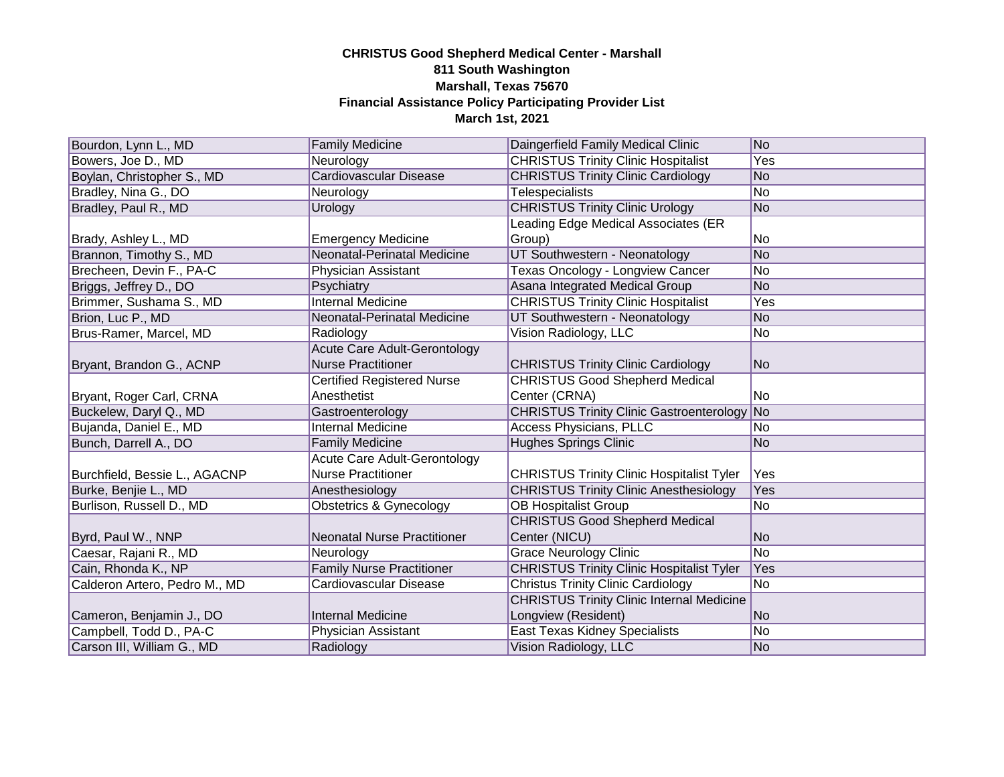| Bourdon, Lynn L., MD          | <b>Family Medicine</b>             | Daingerfield Family Medical Clinic                 | No             |
|-------------------------------|------------------------------------|----------------------------------------------------|----------------|
| Bowers, Joe D., MD            | Neurology                          | <b>CHRISTUS Trinity Clinic Hospitalist</b>         | Yes            |
| Boylan, Christopher S., MD    | <b>Cardiovascular Disease</b>      | <b>CHRISTUS Trinity Clinic Cardiology</b>          | No             |
| Bradley, Nina G., DO          | Neurology                          | <b>Telespecialists</b>                             | No.            |
| Bradley, Paul R., MD          | Urology                            | <b>CHRISTUS Trinity Clinic Urology</b>             | No             |
|                               |                                    | Leading Edge Medical Associates (ER                |                |
| Brady, Ashley L., MD          | <b>Emergency Medicine</b>          | Group)                                             | No             |
| Brannon, Timothy S., MD       | Neonatal-Perinatal Medicine        | UT Southwestern - Neonatology                      | No             |
| Brecheen, Devin F., PA-C      | Physician Assistant                | Texas Oncology - Longview Cancer                   | No             |
| Briggs, Jeffrey D., DO        | Psychiatry                         | Asana Integrated Medical Group                     | No             |
| Brimmer, Sushama S., MD       | <b>Internal Medicine</b>           | <b>CHRISTUS Trinity Clinic Hospitalist</b>         | Yes            |
| Brion, Luc P., MD             | Neonatal-Perinatal Medicine        | UT Southwestern - Neonatology                      | N <sub>o</sub> |
| Brus-Ramer, Marcel, MD        | Radiology                          | Vision Radiology, LLC                              | No             |
|                               | Acute Care Adult-Gerontology       |                                                    |                |
| Bryant, Brandon G., ACNP      | <b>Nurse Practitioner</b>          | <b>CHRISTUS Trinity Clinic Cardiology</b>          | No             |
|                               | <b>Certified Registered Nurse</b>  | <b>CHRISTUS Good Shepherd Medical</b>              |                |
| Bryant, Roger Carl, CRNA      | Anesthetist                        | Center (CRNA)                                      | No.            |
| Buckelew, Daryl Q., MD        | Gastroenterology                   | <b>CHRISTUS Trinity Clinic Gastroenterology No</b> |                |
| Bujanda, Daniel E., MD        | <b>Internal Medicine</b>           | <b>Access Physicians, PLLC</b>                     | No.            |
| Bunch, Darrell A., DO         | <b>Family Medicine</b>             | <b>Hughes Springs Clinic</b>                       | N <sub>o</sub> |
|                               | Acute Care Adult-Gerontology       |                                                    |                |
| Burchfield, Bessie L., AGACNP | <b>Nurse Practitioner</b>          | <b>CHRISTUS Trinity Clinic Hospitalist Tyler</b>   | Yes            |
| Burke, Benjie L., MD          | Anesthesiology                     | <b>CHRISTUS Trinity Clinic Anesthesiology</b>      | Yes            |
| Burlison, Russell D., MD      | <b>Obstetrics &amp; Gynecology</b> | <b>OB Hospitalist Group</b>                        | No             |
|                               |                                    | <b>CHRISTUS Good Shepherd Medical</b>              |                |
| Byrd, Paul W., NNP            | <b>Neonatal Nurse Practitioner</b> | Center (NICU)                                      | N <sub>o</sub> |
| Caesar, Rajani R., MD         | Neurology                          | <b>Grace Neurology Clinic</b>                      | No             |
| Cain, Rhonda K., NP           | <b>Family Nurse Practitioner</b>   | <b>CHRISTUS Trinity Clinic Hospitalist Tyler</b>   | Yes            |
| Calderon Artero, Pedro M., MD | Cardiovascular Disease             | <b>Christus Trinity Clinic Cardiology</b>          | <b>No</b>      |
|                               |                                    | <b>CHRISTUS Trinity Clinic Internal Medicine</b>   |                |
| Cameron, Benjamin J., DO      | <b>Internal Medicine</b>           | Longview (Resident)                                | No             |
| Campbell, Todd D., PA-C       | Physician Assistant                | East Texas Kidney Specialists                      | No             |
| Carson III, William G., MD    | Radiology                          | Vision Radiology, LLC                              | No             |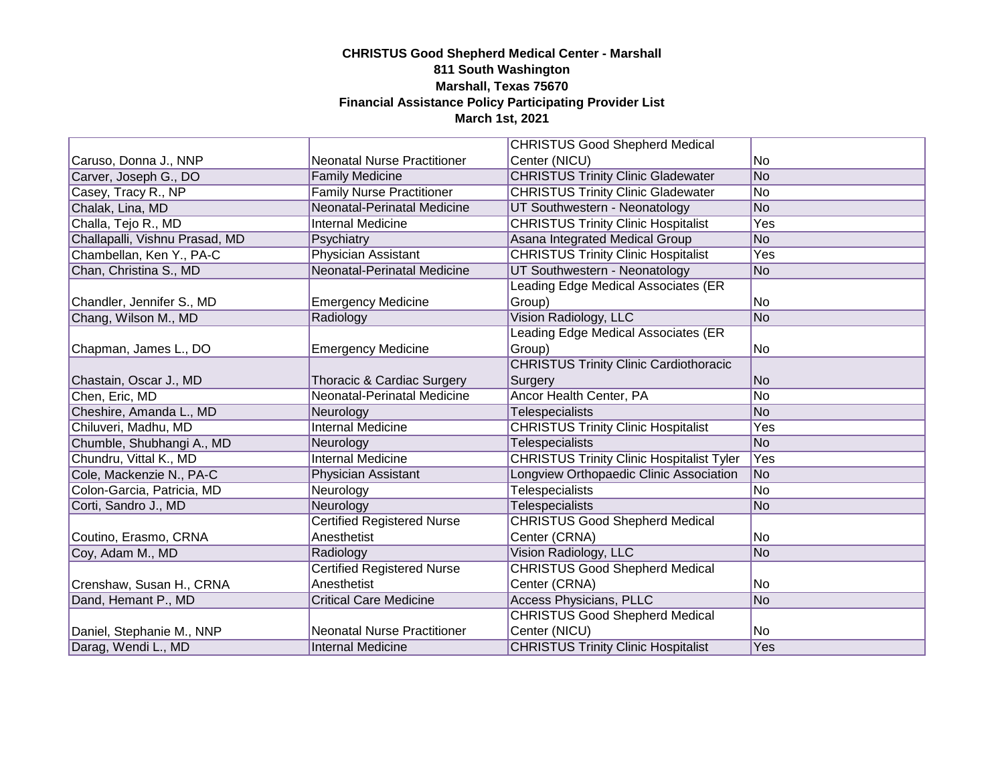|                                |                                    | <b>CHRISTUS Good Shepherd Medical</b>            |     |
|--------------------------------|------------------------------------|--------------------------------------------------|-----|
| Caruso, Donna J., NNP          | <b>Neonatal Nurse Practitioner</b> | Center (NICU)                                    | No  |
| Carver, Joseph G., DO          | <b>Family Medicine</b>             | <b>CHRISTUS Trinity Clinic Gladewater</b>        | No  |
| Casey, Tracy R., NP            | <b>Family Nurse Practitioner</b>   | <b>CHRISTUS Trinity Clinic Gladewater</b>        | No. |
| Chalak, Lina, MD               | Neonatal-Perinatal Medicine        | UT Southwestern - Neonatology                    | No  |
| Challa, Tejo R., MD            | <b>Internal Medicine</b>           | <b>CHRISTUS Trinity Clinic Hospitalist</b>       | Yes |
| Challapalli, Vishnu Prasad, MD | Psychiatry                         | Asana Integrated Medical Group                   | No  |
| Chambellan, Ken Y., PA-C       | <b>Physician Assistant</b>         | <b>CHRISTUS Trinity Clinic Hospitalist</b>       | Yes |
| Chan, Christina S., MD         | Neonatal-Perinatal Medicine        | UT Southwestern - Neonatology                    | No  |
|                                |                                    | Leading Edge Medical Associates (ER              |     |
| Chandler, Jennifer S., MD      | <b>Emergency Medicine</b>          | Group)                                           | No  |
| Chang, Wilson M., MD           | Radiology                          | Vision Radiology, LLC                            | No  |
|                                |                                    | Leading Edge Medical Associates (ER              |     |
| Chapman, James L., DO          | <b>Emergency Medicine</b>          | Group)                                           | No  |
|                                |                                    | <b>CHRISTUS Trinity Clinic Cardiothoracic</b>    |     |
| Chastain, Oscar J., MD         | Thoracic & Cardiac Surgery         | Surgery                                          | No. |
| Chen, Eric, MD                 | Neonatal-Perinatal Medicine        | Ancor Health Center, PA                          | No  |
| Cheshire, Amanda L., MD        | Neurology                          | Telespecialists                                  | No. |
| Chiluveri, Madhu, MD           | <b>Internal Medicine</b>           | <b>CHRISTUS Trinity Clinic Hospitalist</b>       | Yes |
| Chumble, Shubhangi A., MD      | Neurology                          | <b>Telespecialists</b>                           | No  |
| Chundru, Vittal K., MD         | <b>Internal Medicine</b>           | <b>CHRISTUS Trinity Clinic Hospitalist Tyler</b> | Yes |
| Cole, Mackenzie N., PA-C       | <b>Physician Assistant</b>         | Longview Orthopaedic Clinic Association          | No  |
| Colon-Garcia, Patricia, MD     | Neurology                          | <b>Telespecialists</b>                           | No  |
| Corti, Sandro J., MD           | Neurology                          | <b>Telespecialists</b>                           | No  |
|                                | <b>Certified Registered Nurse</b>  | <b>CHRISTUS Good Shepherd Medical</b>            |     |
| Coutino, Erasmo, CRNA          | Anesthetist                        | Center (CRNA)                                    | No  |
| Coy, Adam M., MD               | Radiology                          | Vision Radiology, LLC                            | No  |
|                                | <b>Certified Registered Nurse</b>  | <b>CHRISTUS Good Shepherd Medical</b>            |     |
| Crenshaw, Susan H., CRNA       | Anesthetist                        | Center (CRNA)                                    | No  |
| Dand, Hemant P., MD            | <b>Critical Care Medicine</b>      | <b>Access Physicians, PLLC</b>                   | No  |
|                                |                                    | <b>CHRISTUS Good Shepherd Medical</b>            |     |
| Daniel, Stephanie M., NNP      | <b>Neonatal Nurse Practitioner</b> | Center (NICU)                                    | No  |
| Darag, Wendi L., MD            | Internal Medicine                  | <b>CHRISTUS Trinity Clinic Hospitalist</b>       | Yes |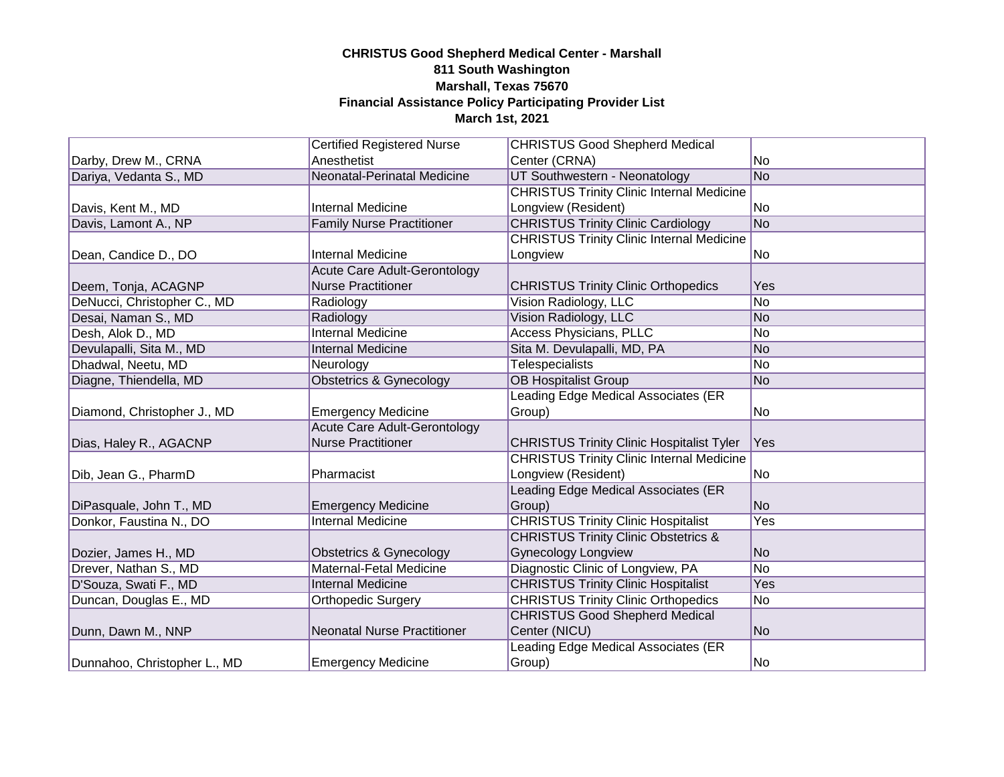|                              | <b>Certified Registered Nurse</b>   | <b>CHRISTUS Good Shepherd Medical</b>            |                |
|------------------------------|-------------------------------------|--------------------------------------------------|----------------|
| Darby, Drew M., CRNA         | Anesthetist                         | Center (CRNA)                                    | No             |
| Dariya, Vedanta S., MD       | Neonatal-Perinatal Medicine         | UT Southwestern - Neonatology                    | No.            |
|                              |                                     | <b>CHRISTUS Trinity Clinic Internal Medicine</b> |                |
| Davis, Kent M., MD           | <b>Internal Medicine</b>            | Longview (Resident)                              | No             |
| Davis, Lamont A., NP         | <b>Family Nurse Practitioner</b>    | <b>CHRISTUS Trinity Clinic Cardiology</b>        | No             |
|                              |                                     | <b>CHRISTUS Trinity Clinic Internal Medicine</b> |                |
| Dean, Candice D., DO         | <b>Internal Medicine</b>            | Longview                                         | No             |
|                              | Acute Care Adult-Gerontology        |                                                  |                |
| Deem, Tonja, ACAGNP          | <b>Nurse Practitioner</b>           | <b>CHRISTUS Trinity Clinic Orthopedics</b>       | Yes            |
| DeNucci, Christopher C., MD  | Radiology                           | Vision Radiology, LLC                            | No             |
| Desai, Naman S., MD          | Radiology                           | Vision Radiology, LLC                            | N <sub>o</sub> |
| Desh, Alok D., MD            | <b>Internal Medicine</b>            | Access Physicians, PLLC                          | No             |
| Devulapalli, Sita M., MD     | <b>Internal Medicine</b>            | Sita M. Devulapalli, MD, PA                      | No             |
| Dhadwal, Neetu, MD           | Neurology                           | Telespecialists                                  | No             |
| Diagne, Thiendella, MD       | Obstetrics & Gynecology             | <b>OB Hospitalist Group</b>                      | No             |
|                              |                                     | Leading Edge Medical Associates (ER              |                |
| Diamond, Christopher J., MD  | <b>Emergency Medicine</b>           | Group)                                           | No             |
|                              | <b>Acute Care Adult-Gerontology</b> |                                                  |                |
| Dias, Haley R., AGACNP       | <b>Nurse Practitioner</b>           | <b>CHRISTUS Trinity Clinic Hospitalist Tyler</b> | Yes            |
|                              |                                     | <b>CHRISTUS Trinity Clinic Internal Medicine</b> |                |
| Dib, Jean G., PharmD         | Pharmacist                          | Longview (Resident)                              | No.            |
|                              |                                     | Leading Edge Medical Associates (ER              |                |
| DiPasquale, John T., MD      | <b>Emergency Medicine</b>           | Group)                                           | <b>No</b>      |
| Donkor, Faustina N., DO      | <b>Internal Medicine</b>            | <b>CHRISTUS Trinity Clinic Hospitalist</b>       | Yes            |
|                              |                                     | <b>CHRISTUS Trinity Clinic Obstetrics &amp;</b>  |                |
| Dozier, James H., MD         | <b>Obstetrics &amp; Gynecology</b>  | <b>Gynecology Longview</b>                       | N <sub>o</sub> |
| Drever, Nathan S., MD        | Maternal-Fetal Medicine             | Diagnostic Clinic of Longview, PA                | No             |
| D'Souza, Swati F., MD        | <b>Internal Medicine</b>            | <b>CHRISTUS Trinity Clinic Hospitalist</b>       | <b>Yes</b>     |
| Duncan, Douglas E., MD       | <b>Orthopedic Surgery</b>           | <b>CHRISTUS Trinity Clinic Orthopedics</b>       | No             |
|                              |                                     | <b>CHRISTUS Good Shepherd Medical</b>            |                |
| Dunn, Dawn M., NNP           | <b>Neonatal Nurse Practitioner</b>  | Center (NICU)                                    | No             |
|                              |                                     | Leading Edge Medical Associates (ER              |                |
| Dunnahoo, Christopher L., MD | <b>Emergency Medicine</b>           | Group)                                           | No.            |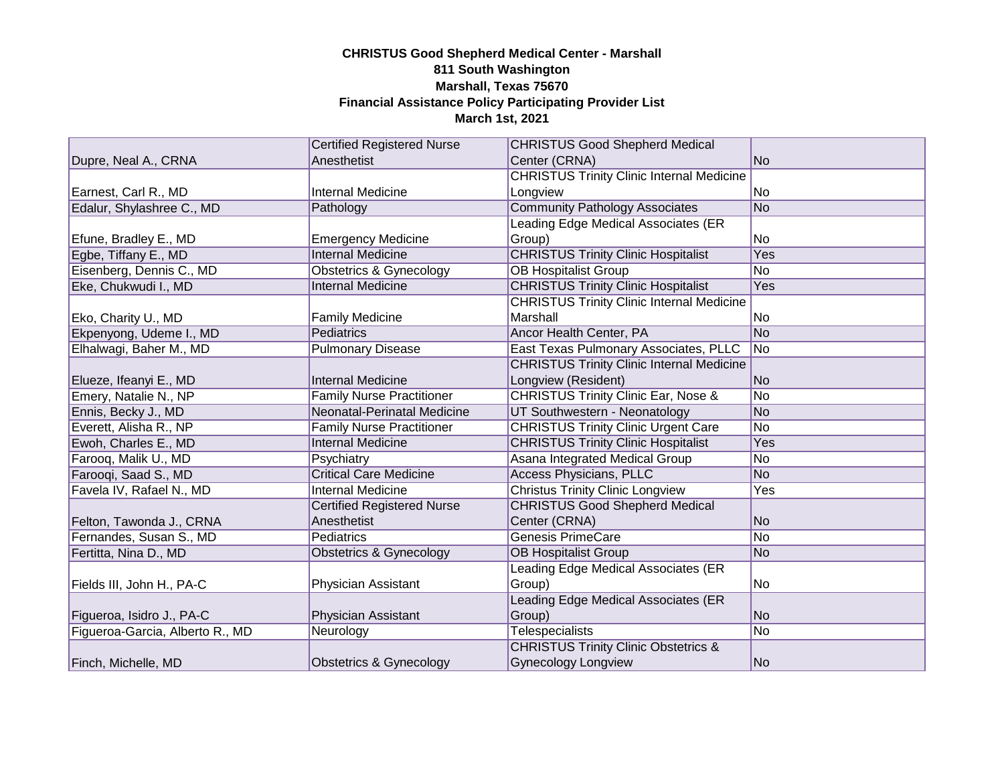|                                 | <b>Certified Registered Nurse</b> | <b>CHRISTUS Good Shepherd Medical</b>            |     |
|---------------------------------|-----------------------------------|--------------------------------------------------|-----|
| Dupre, Neal A., CRNA            | Anesthetist                       | Center (CRNA)                                    | No. |
|                                 |                                   | <b>CHRISTUS Trinity Clinic Internal Medicine</b> |     |
| Earnest, Carl R., MD            | <b>Internal Medicine</b>          | Longview                                         | No  |
| Edalur, Shylashree C., MD       | Pathology                         | <b>Community Pathology Associates</b>            | No  |
|                                 |                                   | Leading Edge Medical Associates (ER              |     |
| Efune, Bradley E., MD           | <b>Emergency Medicine</b>         | Group)                                           | No. |
| Egbe, Tiffany E., MD            | <b>Internal Medicine</b>          | <b>CHRISTUS Trinity Clinic Hospitalist</b>       | Yes |
| Eisenberg, Dennis C., MD        | Obstetrics & Gynecology           | <b>OB Hospitalist Group</b>                      | No  |
| Eke, Chukwudi I., MD            | <b>Internal Medicine</b>          | <b>CHRISTUS Trinity Clinic Hospitalist</b>       | Yes |
|                                 |                                   | <b>CHRISTUS Trinity Clinic Internal Medicine</b> |     |
| Eko, Charity U., MD             | <b>Family Medicine</b>            | Marshall                                         | No. |
| Ekpenyong, Udeme I., MD         | Pediatrics                        | Ancor Health Center, PA                          | No  |
| Elhalwagi, Baher M., MD         | <b>Pulmonary Disease</b>          | East Texas Pulmonary Associates, PLLC            | No  |
|                                 |                                   | <b>CHRISTUS Trinity Clinic Internal Medicine</b> |     |
| Elueze, Ifeanyi E., MD          | <b>Internal Medicine</b>          | Longview (Resident)                              | No  |
| Emery, Natalie N., NP           | <b>Family Nurse Practitioner</b>  | <b>CHRISTUS Trinity Clinic Ear, Nose &amp;</b>   | No  |
| Ennis, Becky J., MD             | Neonatal-Perinatal Medicine       | UT Southwestern - Neonatology                    | No  |
| Everett, Alisha R., NP          | <b>Family Nurse Practitioner</b>  | <b>CHRISTUS Trinity Clinic Urgent Care</b>       | No  |
| Ewoh, Charles E., MD            | <b>Internal Medicine</b>          | <b>CHRISTUS Trinity Clinic Hospitalist</b>       | Yes |
| Farooq, Malik U., MD            | Psychiatry                        | Asana Integrated Medical Group                   | No  |
| Farooqi, Saad S., MD            | <b>Critical Care Medicine</b>     | <b>Access Physicians, PLLC</b>                   | No. |
| Favela IV, Rafael N., MD        | <b>Internal Medicine</b>          | <b>Christus Trinity Clinic Longview</b>          | Yes |
|                                 | <b>Certified Registered Nurse</b> | <b>CHRISTUS Good Shepherd Medical</b>            |     |
| Felton, Tawonda J., CRNA        | Anesthetist                       | Center (CRNA)                                    | No  |
| Fernandes, Susan S., MD         | Pediatrics                        | <b>Genesis PrimeCare</b>                         | No  |
| Fertitta, Nina D., MD           | Obstetrics & Gynecology           | <b>OB Hospitalist Group</b>                      | No. |
|                                 |                                   | Leading Edge Medical Associates (ER              |     |
| Fields III, John H., PA-C       | Physician Assistant               | Group)                                           | No. |
|                                 |                                   | Leading Edge Medical Associates (ER              |     |
| Figueroa, Isidro J., PA-C       | Physician Assistant               | Group)                                           | No  |
| Figueroa-Garcia, Alberto R., MD | Neurology                         | <b>Telespecialists</b>                           | No  |
|                                 |                                   | <b>CHRISTUS Trinity Clinic Obstetrics &amp;</b>  |     |
| Finch, Michelle, MD             | Obstetrics & Gynecology           | <b>Gynecology Longview</b>                       | No  |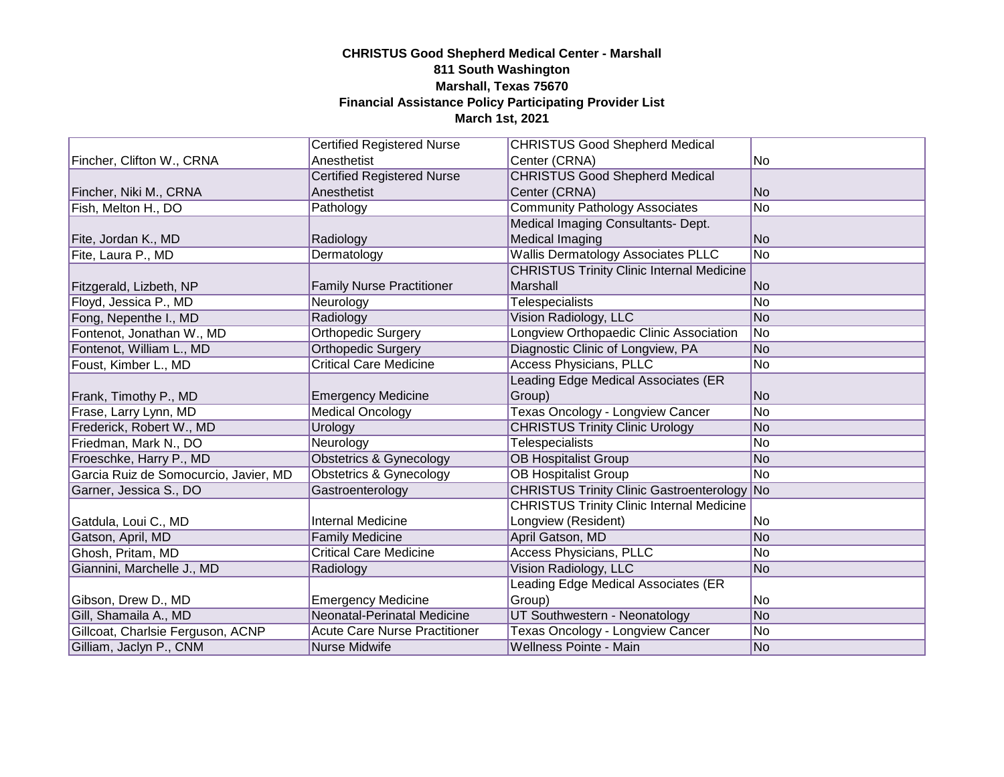|                                       | <b>Certified Registered Nurse</b>    | <b>CHRISTUS Good Shepherd Medical</b>              |                |
|---------------------------------------|--------------------------------------|----------------------------------------------------|----------------|
| Fincher, Clifton W., CRNA             | Anesthetist                          | Center (CRNA)                                      | No.            |
|                                       | <b>Certified Registered Nurse</b>    | <b>CHRISTUS Good Shepherd Medical</b>              |                |
| Fincher, Niki M., CRNA                | Anesthetist                          | Center (CRNA)                                      | N <sub>o</sub> |
| Fish, Melton H., DO                   | Pathology                            | <b>Community Pathology Associates</b>              | No             |
|                                       |                                      | Medical Imaging Consultants- Dept.                 |                |
| Fite, Jordan K., MD                   | Radiology                            | Medical Imaging                                    | No             |
| Fite, Laura P., MD                    | Dermatology                          | <b>Wallis Dermatology Associates PLLC</b>          | No             |
|                                       |                                      | <b>CHRISTUS Trinity Clinic Internal Medicine</b>   |                |
| Fitzgerald, Lizbeth, NP               | <b>Family Nurse Practitioner</b>     | Marshall                                           | N <sub>o</sub> |
| Floyd, Jessica P., MD                 | Neurology                            | <b>Telespecialists</b>                             | No             |
| Fong, Nepenthe I., MD                 | Radiology                            | Vision Radiology, LLC                              | No             |
| Fontenot, Jonathan W., MD             | <b>Orthopedic Surgery</b>            | Longview Orthopaedic Clinic Association            | No             |
| Fontenot, William L., MD              | <b>Orthopedic Surgery</b>            | Diagnostic Clinic of Longview, PA                  | No             |
| Foust, Kimber L., MD                  | <b>Critical Care Medicine</b>        | <b>Access Physicians, PLLC</b>                     | No             |
|                                       |                                      | Leading Edge Medical Associates (ER                |                |
| Frank, Timothy P., MD                 | <b>Emergency Medicine</b>            | Group)                                             | N <sub>o</sub> |
| Frase, Larry Lynn, MD                 | <b>Medical Oncology</b>              | Texas Oncology - Longview Cancer                   | No             |
| Frederick, Robert W., MD              | Urology                              | <b>CHRISTUS Trinity Clinic Urology</b>             | No             |
| Friedman, Mark N., DO                 | Neurology                            | <b>Telespecialists</b>                             | No             |
| Froeschke, Harry P., MD               | Obstetrics & Gynecology              | <b>OB Hospitalist Group</b>                        | No             |
| Garcia Ruiz de Somocurcio, Javier, MD | Obstetrics & Gynecology              | <b>OB Hospitalist Group</b>                        | No             |
| Garner, Jessica S., DO                | Gastroenterology                     | <b>CHRISTUS Trinity Clinic Gastroenterology No</b> |                |
|                                       |                                      | <b>CHRISTUS Trinity Clinic Internal Medicine</b>   |                |
| Gatdula, Loui C., MD                  | <b>Internal Medicine</b>             | Longview (Resident)                                | No.            |
| Gatson, April, MD                     | <b>Family Medicine</b>               | April Gatson, MD                                   | No             |
| Ghosh, Pritam, MD                     | <b>Critical Care Medicine</b>        | <b>Access Physicians, PLLC</b>                     | No             |
| Giannini, Marchelle J., MD            | Radiology                            | Vision Radiology, LLC                              | No             |
|                                       |                                      | Leading Edge Medical Associates (ER                |                |
| Gibson, Drew D., MD                   | <b>Emergency Medicine</b>            | Group)                                             | No             |
| Gill, Shamaila A., MD                 | Neonatal-Perinatal Medicine          | UT Southwestern - Neonatology                      | No             |
| Gillcoat, Charlsie Ferguson, ACNP     | <b>Acute Care Nurse Practitioner</b> | Texas Oncology - Longview Cancer                   | No             |
| Gilliam, Jaclyn P., CNM               | <b>Nurse Midwife</b>                 | Wellness Pointe - Main                             | No             |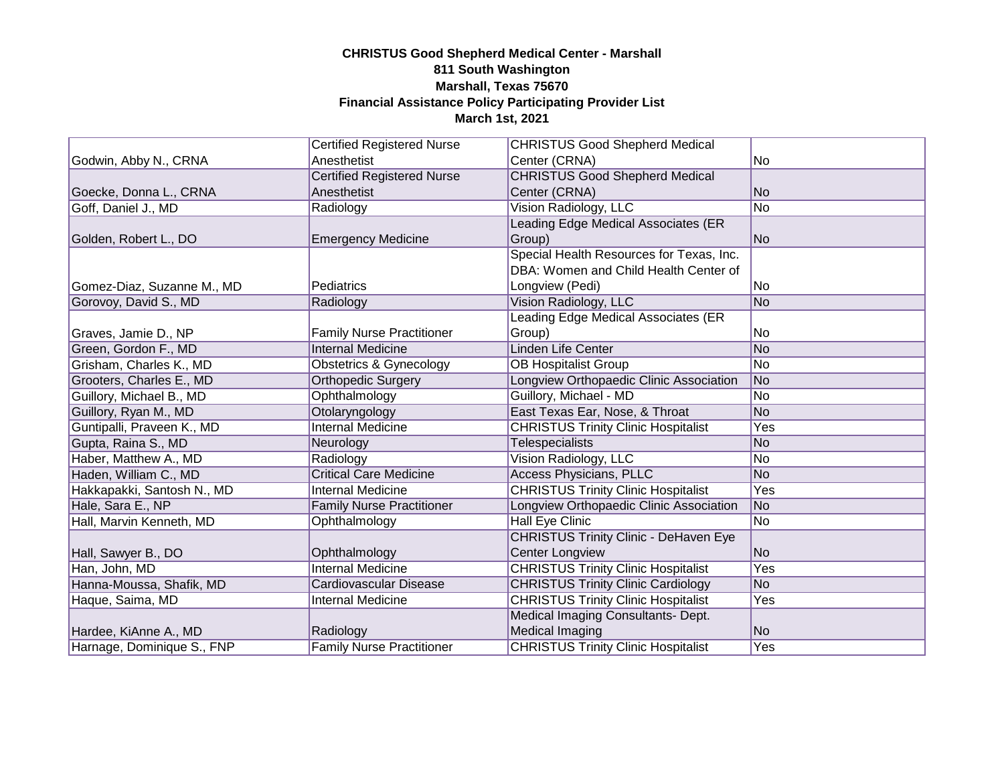|                            | <b>Certified Registered Nurse</b> | <b>CHRISTUS Good Shepherd Medical</b>        |                 |
|----------------------------|-----------------------------------|----------------------------------------------|-----------------|
| Godwin, Abby N., CRNA      | Anesthetist                       | Center (CRNA)                                | No.             |
|                            | <b>Certified Registered Nurse</b> | <b>CHRISTUS Good Shepherd Medical</b>        |                 |
| Goecke, Donna L., CRNA     | Anesthetist                       | Center (CRNA)                                | No              |
| Goff, Daniel J., MD        | Radiology                         | Vision Radiology, LLC                        | <b>No</b>       |
|                            |                                   | Leading Edge Medical Associates (ER          |                 |
| Golden, Robert L., DO      | <b>Emergency Medicine</b>         | Group)                                       | No              |
|                            |                                   | Special Health Resources for Texas, Inc.     |                 |
|                            |                                   | DBA: Women and Child Health Center of        |                 |
| Gomez-Diaz, Suzanne M., MD | Pediatrics                        | Longview (Pedi)                              | No              |
| Gorovoy, David S., MD      | Radiology                         | Vision Radiology, LLC                        | N <sub>o</sub>  |
|                            |                                   | eading Edge Medical Associates (ER           |                 |
| Graves, Jamie D., NP       | <b>Family Nurse Practitioner</b>  | Group)                                       | No              |
| Green, Gordon F., MD       | <b>Internal Medicine</b>          | <b>Linden Life Center</b>                    | No              |
| Grisham, Charles K., MD    | Obstetrics & Gynecology           | <b>OB Hospitalist Group</b>                  | No              |
| Grooters, Charles E., MD   | <b>Orthopedic Surgery</b>         | Longview Orthopaedic Clinic Association      | No              |
| Guillory, Michael B., MD   | Ophthalmology                     | Guillory, Michael - MD                       | No              |
| Guillory, Ryan M., MD      | Otolaryngology                    | East Texas Ear, Nose, & Throat               | N <sub>o</sub>  |
| Guntipalli, Praveen K., MD | <b>Internal Medicine</b>          | <b>CHRISTUS Trinity Clinic Hospitalist</b>   | Yes             |
| Gupta, Raina S., MD        | Neurology                         | <b>Telespecialists</b>                       | N <sub>o</sub>  |
| Haber, Matthew A., MD      | Radiology                         | Vision Radiology, LLC                        | No              |
| Haden, William C., MD      | <b>Critical Care Medicine</b>     | <b>Access Physicians, PLLC</b>               | No              |
| Hakkapakki, Santosh N., MD | <b>Internal Medicine</b>          | <b>CHRISTUS Trinity Clinic Hospitalist</b>   | Yes             |
| Hale, Sara E., NP          | <b>Family Nurse Practitioner</b>  | Longview Orthopaedic Clinic Association      | No              |
| Hall, Marvin Kenneth, MD   | Ophthalmology                     | <b>Hall Eye Clinic</b>                       | $\overline{No}$ |
|                            |                                   | <b>CHRISTUS Trinity Clinic - DeHaven Eye</b> |                 |
| Hall, Sawyer B., DO        | Ophthalmology                     | <b>Center Longview</b>                       | No              |
| Han, John, MD              | <b>Internal Medicine</b>          | <b>CHRISTUS Trinity Clinic Hospitalist</b>   | Yes             |
| Hanna-Moussa, Shafik, MD   | Cardiovascular Disease            | <b>CHRISTUS Trinity Clinic Cardiology</b>    | <b>No</b>       |
| Haque, Saima, MD           | <b>Internal Medicine</b>          | <b>CHRISTUS Trinity Clinic Hospitalist</b>   | Yes             |
|                            |                                   | Medical Imaging Consultants- Dept.           |                 |
| Hardee, KiAnne A., MD      | Radiology                         | <b>Medical Imaging</b>                       | N <sub>o</sub>  |
| Harnage, Dominique S., FNP | <b>Family Nurse Practitioner</b>  | <b>CHRISTUS Trinity Clinic Hospitalist</b>   | Yes             |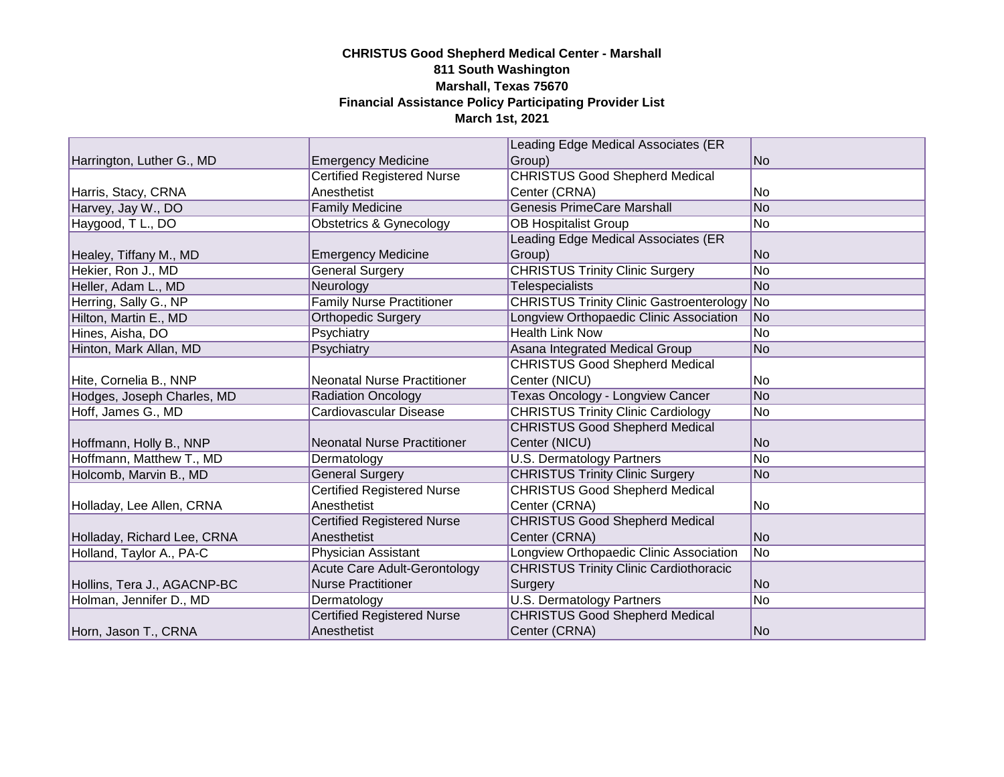|                             |                                     | Leading Edge Medical Associates (ER                |                 |
|-----------------------------|-------------------------------------|----------------------------------------------------|-----------------|
| Harrington, Luther G., MD   | <b>Emergency Medicine</b>           | Group)                                             | N <sub>o</sub>  |
|                             | <b>Certified Registered Nurse</b>   | <b>CHRISTUS Good Shepherd Medical</b>              |                 |
| Harris, Stacy, CRNA         | Anesthetist                         | Center (CRNA)                                      | No              |
| Harvey, Jay W., DO          | <b>Family Medicine</b>              | <b>Genesis PrimeCare Marshall</b>                  | <b>No</b>       |
| Haygood, T L., DO           | Obstetrics & Gynecology             | <b>OB Hospitalist Group</b>                        | No              |
|                             |                                     | Leading Edge Medical Associates (ER                |                 |
| Healey, Tiffany M., MD      | <b>Emergency Medicine</b>           | Group)                                             | N <sub>o</sub>  |
| Hekier, Ron J., MD          | <b>General Surgery</b>              | <b>CHRISTUS Trinity Clinic Surgery</b>             | No              |
| Heller, Adam L., MD         | Neurology                           | <b>Telespecialists</b>                             | No              |
| Herring, Sally G., NP       | <b>Family Nurse Practitioner</b>    | <b>CHRISTUS Trinity Clinic Gastroenterology No</b> |                 |
| Hilton, Martin E., MD       | <b>Orthopedic Surgery</b>           | Longview Orthopaedic Clinic Association            | No.             |
| Hines, Aisha, DO            | Psychiatry                          | <b>Health Link Now</b>                             | No              |
| Hinton, Mark Allan, MD      | Psychiatry                          | Asana Integrated Medical Group                     | No              |
|                             |                                     | <b>CHRISTUS Good Shepherd Medical</b>              |                 |
| Hite, Cornelia B., NNP      | <b>Neonatal Nurse Practitioner</b>  | Center (NICU)                                      | No.             |
| Hodges, Joseph Charles, MD  | <b>Radiation Oncology</b>           | <b>Texas Oncology - Longview Cancer</b>            | <b>No</b>       |
| Hoff, James G., MD          | Cardiovascular Disease              | <b>CHRISTUS Trinity Clinic Cardiology</b>          | No              |
|                             |                                     | <b>CHRISTUS Good Shepherd Medical</b>              |                 |
| Hoffmann, Holly B., NNP     | <b>Neonatal Nurse Practitioner</b>  | Center (NICU)                                      | <b>No</b>       |
| Hoffmann, Matthew T., MD    | Dermatology                         | <b>U.S. Dermatology Partners</b>                   | $\overline{No}$ |
| Holcomb, Marvin B., MD      | <b>General Surgery</b>              | <b>CHRISTUS Trinity Clinic Surgery</b>             | <b>No</b>       |
|                             | <b>Certified Registered Nurse</b>   | <b>CHRISTUS Good Shepherd Medical</b>              |                 |
| Holladay, Lee Allen, CRNA   | Anesthetist                         | Center (CRNA)                                      | No              |
|                             | <b>Certified Registered Nurse</b>   | <b>CHRISTUS Good Shepherd Medical</b>              |                 |
| Holladay, Richard Lee, CRNA | Anesthetist                         | Center (CRNA)                                      | <b>No</b>       |
| Holland, Taylor A., PA-C    | Physician Assistant                 | Longview Orthopaedic Clinic Association            | $\overline{No}$ |
|                             | <b>Acute Care Adult-Gerontology</b> | <b>CHRISTUS Trinity Clinic Cardiothoracic</b>      |                 |
| Hollins, Tera J., AGACNP-BC | <b>Nurse Practitioner</b>           | Surgery                                            | <b>No</b>       |
| Holman, Jennifer D., MD     | Dermatology                         | <b>U.S. Dermatology Partners</b>                   | No              |
|                             | <b>Certified Registered Nurse</b>   | <b>CHRISTUS Good Shepherd Medical</b>              |                 |
| Horn, Jason T., CRNA        | Anesthetist                         | Center (CRNA)                                      | No              |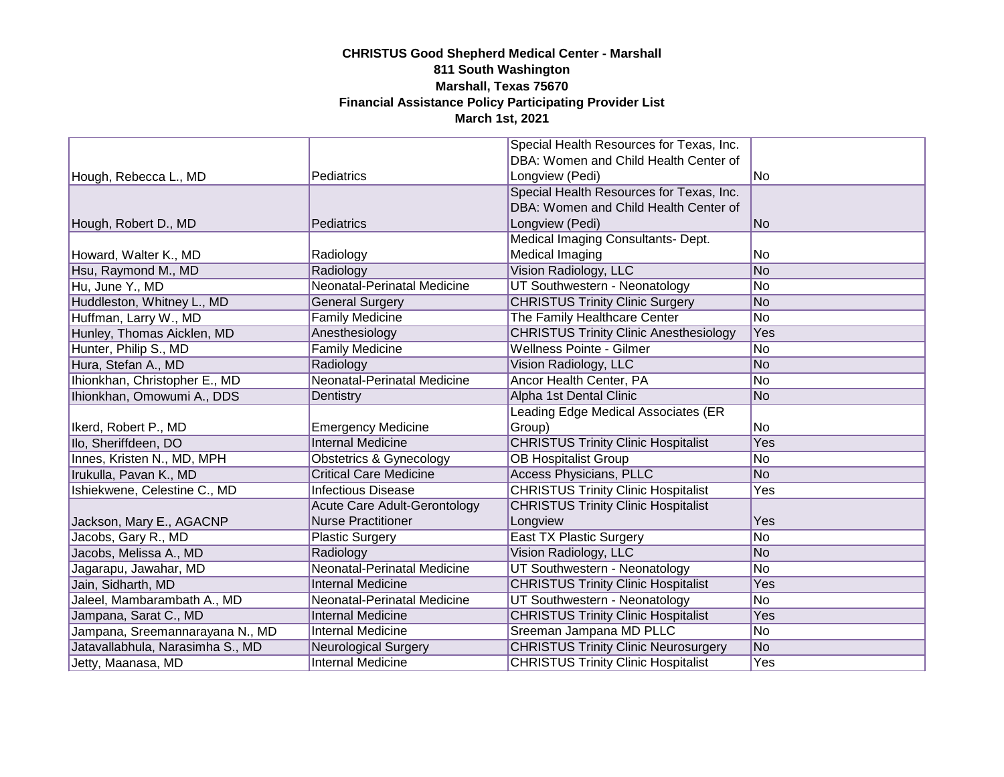|                                  |                                     | Special Health Resources for Texas, Inc.                                                  |                |
|----------------------------------|-------------------------------------|-------------------------------------------------------------------------------------------|----------------|
|                                  |                                     | DBA: Women and Child Health Center of                                                     |                |
| Hough, Rebecca L., MD            | Pediatrics                          | Longview (Pedi)                                                                           | No             |
|                                  |                                     | Special Health Resources for Texas, Inc.                                                  |                |
|                                  |                                     | DBA: Women and Child Health Center of                                                     |                |
| Hough, Robert D., MD             | Pediatrics                          | Longview (Pedi)                                                                           | No             |
|                                  |                                     | Medical Imaging Consultants- Dept.                                                        |                |
| Howard, Walter K., MD            | Radiology                           | Medical Imaging                                                                           | No.            |
| Hsu, Raymond M., MD              | Radiology                           | Vision Radiology, LLC                                                                     | No             |
| Hu, June Y., MD                  | Neonatal-Perinatal Medicine         | UT Southwestern - Neonatology                                                             | No             |
| Huddleston, Whitney L., MD       | <b>General Surgery</b>              | <b>CHRISTUS Trinity Clinic Surgery</b>                                                    | No             |
| Huffman, Larry W., MD            | <b>Family Medicine</b>              | The Family Healthcare Center                                                              | No             |
| Hunley, Thomas Aicklen, MD       | Anesthesiology                      | <b>CHRISTUS Trinity Clinic Anesthesiology</b>                                             | Yes            |
| Hunter, Philip S., MD            | <b>Family Medicine</b>              | <b>Wellness Pointe - Gilmer</b>                                                           | No             |
| Hura, Stefan A., MD              | Radiology                           | Vision Radiology, LLC                                                                     | No             |
| Ihionkhan, Christopher E., MD    | Neonatal-Perinatal Medicine         | Ancor Health Center, PA                                                                   | No             |
| Ihionkhan, Omowumi A., DDS       | Dentistry                           | Alpha 1st Dental Clinic                                                                   | No             |
|                                  |                                     | Leading Edge Medical Associates (ER                                                       |                |
| Ikerd, Robert P., MD             | <b>Emergency Medicine</b>           | Group)                                                                                    | No.            |
| Ilo, Sheriffdeen, DO             | <b>Internal Medicine</b>            | <b>CHRISTUS Trinity Clinic Hospitalist</b>                                                | Yes            |
| Innes, Kristen N., MD, MPH       | Obstetrics & Gynecology             | <b>OB Hospitalist Group</b>                                                               | No             |
| Irukulla, Pavan K., MD           | <b>Critical Care Medicine</b>       | <b>Access Physicians, PLLC</b>                                                            | N <sub>o</sub> |
| Ishiekwene, Celestine C., MD     | <b>Infectious Disease</b>           | <b>CHRISTUS Trinity Clinic Hospitalist</b>                                                | Yes            |
|                                  | <b>Acute Care Adult-Gerontology</b> | <b>CHRISTUS Trinity Clinic Hospitalist</b>                                                |                |
| Jackson, Mary E., AGACNP         | <b>Nurse Practitioner</b>           | Longview                                                                                  | Yes            |
| Jacobs, Gary R., MD              | <b>Plastic Surgery</b>              | East TX Plastic Surgery                                                                   | No             |
| Jacobs, Melissa A., MD           | Radiology                           | Vision Radiology, LLC                                                                     | N <sub>o</sub> |
| Jagarapu, Jawahar, MD            | <b>Neonatal-Perinatal Medicine</b>  | UT Southwestern - Neonatology                                                             | No             |
| Jain, Sidharth, MD               | <b>Internal Medicine</b>            | <b>CHRISTUS Trinity Clinic Hospitalist</b>                                                | Yes            |
|                                  |                                     |                                                                                           |                |
| Jaleel, Mambarambath A., MD      | Neonatal-Perinatal Medicine         | UT Southwestern - Neonatology                                                             | No             |
| Jampana, Sarat C., MD            | <b>Internal Medicine</b>            | <b>CHRISTUS Trinity Clinic Hospitalist</b>                                                | Yes            |
| Jampana, Sreemannarayana N., MD  | <b>Internal Medicine</b>            | Sreeman Jampana MD PLLC                                                                   | No             |
| Jatavallabhula, Narasimha S., MD | <b>Neurological Surgery</b>         | <b>CHRISTUS Trinity Clinic Neurosurgery</b><br><b>CHRISTUS Trinity Clinic Hospitalist</b> | No             |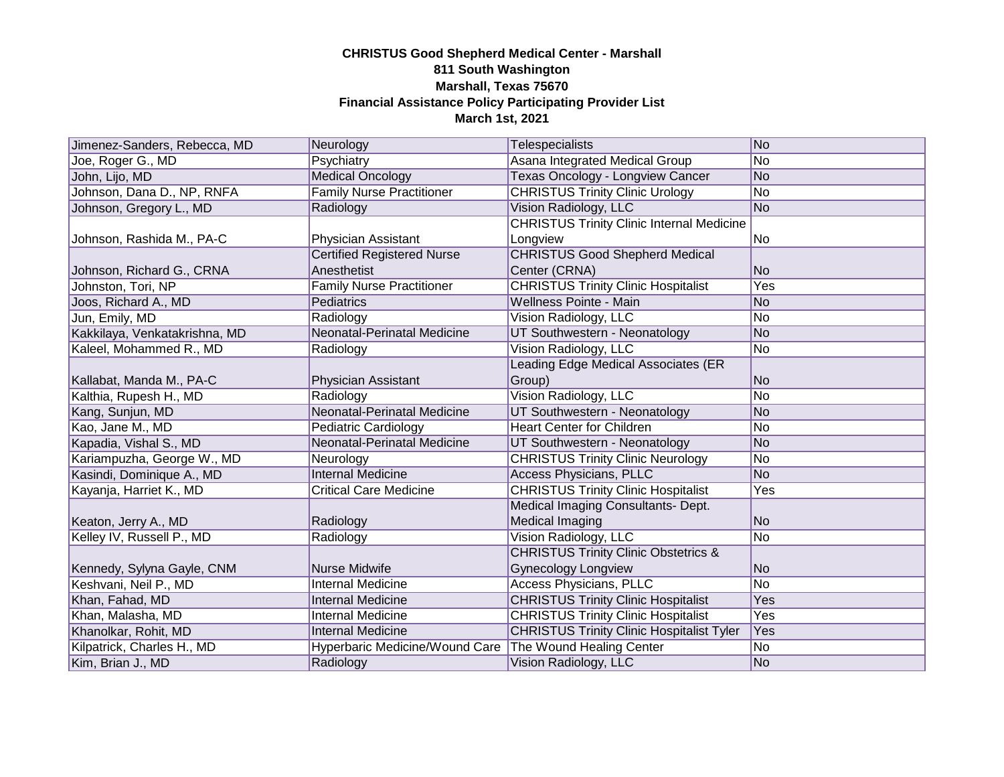| Jimenez-Sanders, Rebecca, MD  | Neurology                         | <b>Telespecialists</b>                           | No             |
|-------------------------------|-----------------------------------|--------------------------------------------------|----------------|
| Joe, Roger G., MD             | Psychiatry                        | Asana Integrated Medical Group                   | No             |
| John, Lijo, MD                | <b>Medical Oncology</b>           | Texas Oncology - Longview Cancer                 | No             |
| Johnson, Dana D., NP, RNFA    | <b>Family Nurse Practitioner</b>  | <b>CHRISTUS Trinity Clinic Urology</b>           | No             |
| Johnson, Gregory L., MD       | Radiology                         | Vision Radiology, LLC                            | No             |
|                               |                                   | <b>CHRISTUS Trinity Clinic Internal Medicine</b> |                |
| Johnson, Rashida M., PA-C     | Physician Assistant               | Longview                                         | No             |
|                               | <b>Certified Registered Nurse</b> | <b>CHRISTUS Good Shepherd Medical</b>            |                |
| Johnson, Richard G., CRNA     | Anesthetist                       | Center (CRNA)                                    | No.            |
| Johnston, Tori, NP            | <b>Family Nurse Practitioner</b>  | <b>CHRISTUS Trinity Clinic Hospitalist</b>       | Yes            |
| Joos, Richard A., MD          | Pediatrics                        | Wellness Pointe - Main                           | N <sub>o</sub> |
| Jun, Emily, MD                | Radiology                         | Vision Radiology, LLC                            | No             |
| Kakkilaya, Venkatakrishna, MD | Neonatal-Perinatal Medicine       | UT Southwestern - Neonatology                    | No             |
| Kaleel, Mohammed R., MD       | Radiology                         | Vision Radiology, LLC                            | No             |
|                               |                                   | Leading Edge Medical Associates (ER              |                |
| Kallabat, Manda M., PA-C      | Physician Assistant               | Group)                                           | lNo.           |
| Kalthia, Rupesh H., MD        | Radiology                         | Vision Radiology, LLC                            | No             |
| Kang, Sunjun, MD              | Neonatal-Perinatal Medicine       | UT Southwestern - Neonatology                    | No             |
| Kao, Jane M., MD              | <b>Pediatric Cardiology</b>       | <b>Heart Center for Children</b>                 | No             |
| Kapadia, Vishal S., MD        | Neonatal-Perinatal Medicine       | UT Southwestern - Neonatology                    | No             |
| Kariampuzha, George W., MD    | Neurology                         | <b>CHRISTUS Trinity Clinic Neurology</b>         | No             |
| Kasindi, Dominique A., MD     | <b>Internal Medicine</b>          | <b>Access Physicians, PLLC</b>                   | No             |
| Kayanja, Harriet K., MD       | <b>Critical Care Medicine</b>     | <b>CHRISTUS Trinity Clinic Hospitalist</b>       | Yes            |
|                               |                                   | Medical Imaging Consultants- Dept.               |                |
| Keaton, Jerry A., MD          | Radiology                         | Medical Imaging                                  | No             |
| Kelley IV, Russell P., MD     | Radiology                         | Vision Radiology, LLC                            | No             |
|                               |                                   | <b>CHRISTUS Trinity Clinic Obstetrics &amp;</b>  |                |
| Kennedy, Sylyna Gayle, CNM    | Nurse Midwife                     | <b>Gynecology Longview</b>                       | No             |
| Keshvani, Neil P., MD         | <b>Internal Medicine</b>          | <b>Access Physicians, PLLC</b>                   | No             |
| Khan, Fahad, MD               | <b>Internal Medicine</b>          | <b>CHRISTUS Trinity Clinic Hospitalist</b>       | Yes            |
| Khan, Malasha, MD             | <b>Internal Medicine</b>          | <b>CHRISTUS Trinity Clinic Hospitalist</b>       | Yes            |
| Khanolkar, Rohit, MD          | <b>Internal Medicine</b>          | <b>CHRISTUS Trinity Clinic Hospitalist Tyler</b> | Yes            |
| Kilpatrick, Charles H., MD    | Hyperbaric Medicine/Wound Care    | The Wound Healing Center                         | No             |
| Kim, Brian J., MD             | Radiology                         | Vision Radiology, LLC                            | No             |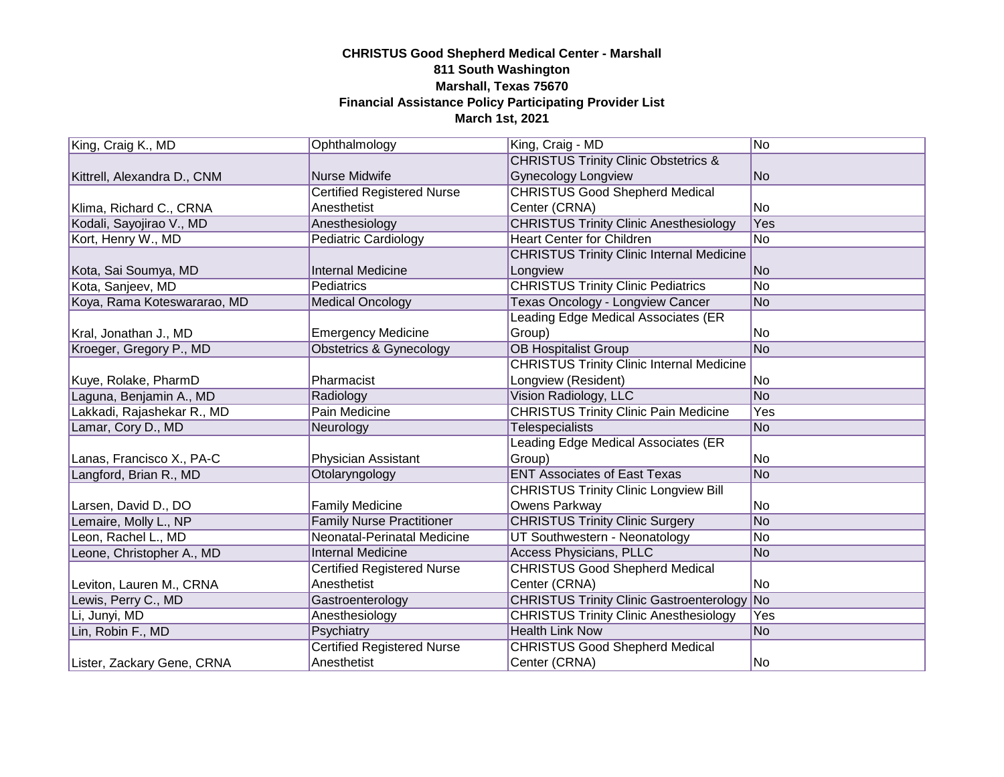| King, Craig K., MD          | Ophthalmology                     | King, Craig - MD                                   | N <sub>o</sub>  |
|-----------------------------|-----------------------------------|----------------------------------------------------|-----------------|
|                             |                                   | <b>CHRISTUS Trinity Clinic Obstetrics &amp;</b>    |                 |
| Kittrell, Alexandra D., CNM | <b>Nurse Midwife</b>              | <b>Gynecology Longview</b>                         | <b>No</b>       |
|                             | <b>Certified Registered Nurse</b> | <b>CHRISTUS Good Shepherd Medical</b>              |                 |
| Klima, Richard C., CRNA     | Anesthetist                       | Center (CRNA)                                      | No              |
| Kodali, Sayojirao V., MD    | Anesthesiology                    | <b>CHRISTUS Trinity Clinic Anesthesiology</b>      | Yes             |
| Kort, Henry W., MD          | <b>Pediatric Cardiology</b>       | <b>Heart Center for Children</b>                   | $\overline{No}$ |
|                             |                                   | <b>CHRISTUS Trinity Clinic Internal Medicine</b>   |                 |
| Kota, Sai Soumya, MD        | <b>Internal Medicine</b>          | Longview                                           | <b>No</b>       |
| Kota, Sanjeev, MD           | Pediatrics                        | <b>CHRISTUS Trinity Clinic Pediatrics</b>          | No              |
| Koya, Rama Koteswararao, MD | <b>Medical Oncology</b>           | Texas Oncology - Longview Cancer                   | <b>No</b>       |
|                             |                                   | Leading Edge Medical Associates (ER                |                 |
| Kral, Jonathan J., MD       | <b>Emergency Medicine</b>         | Group)                                             | No              |
| Kroeger, Gregory P., MD     | Obstetrics & Gynecology           | <b>OB Hospitalist Group</b>                        | No              |
|                             |                                   | <b>CHRISTUS Trinity Clinic Internal Medicine</b>   |                 |
| Kuye, Rolake, PharmD        | Pharmacist                        | Longview (Resident)                                | No              |
| Laguna, Benjamin A., MD     | Radiology                         | Vision Radiology, LLC                              | <b>No</b>       |
| Lakkadi, Rajashekar R., MD  | Pain Medicine                     | <b>CHRISTUS Trinity Clinic Pain Medicine</b>       | Yes             |
| Lamar, Cory D., MD          | Neurology                         | <b>Telespecialists</b>                             | <b>No</b>       |
|                             |                                   | Leading Edge Medical Associates (ER                |                 |
| Lanas, Francisco X., PA-C   | Physician Assistant               | Group)                                             | No              |
| Langford, Brian R., MD      | Otolaryngology                    | <b>ENT Associates of East Texas</b>                | N <sub>o</sub>  |
|                             |                                   | <b>CHRISTUS Trinity Clinic Longview Bill</b>       |                 |
| Larsen, David D., DO        | <b>Family Medicine</b>            | Owens Parkway                                      | No              |
| Lemaire, Molly L., NP       | <b>Family Nurse Practitioner</b>  | <b>CHRISTUS Trinity Clinic Surgery</b>             | <b>No</b>       |
| Leon, Rachel L., MD         | Neonatal-Perinatal Medicine       | UT Southwestern - Neonatology                      | No              |
| Leone, Christopher A., MD   | <b>Internal Medicine</b>          | <b>Access Physicians, PLLC</b>                     | N <sub>o</sub>  |
|                             | <b>Certified Registered Nurse</b> | <b>CHRISTUS Good Shepherd Medical</b>              |                 |
| Leviton, Lauren M., CRNA    | Anesthetist                       | Center (CRNA)                                      | No              |
| Lewis, Perry C., MD         | Gastroenterology                  | <b>CHRISTUS Trinity Clinic Gastroenterology No</b> |                 |
| Li, Junyi, MD               | Anesthesiology                    | <b>CHRISTUS Trinity Clinic Anesthesiology</b>      | Yes             |
| Lin, Robin F., MD           | Psychiatry                        | <b>Health Link Now</b>                             | <b>No</b>       |
|                             | <b>Certified Registered Nurse</b> | <b>CHRISTUS Good Shepherd Medical</b>              |                 |
| Lister, Zackary Gene, CRNA  | Anesthetist                       | Center (CRNA)                                      | No              |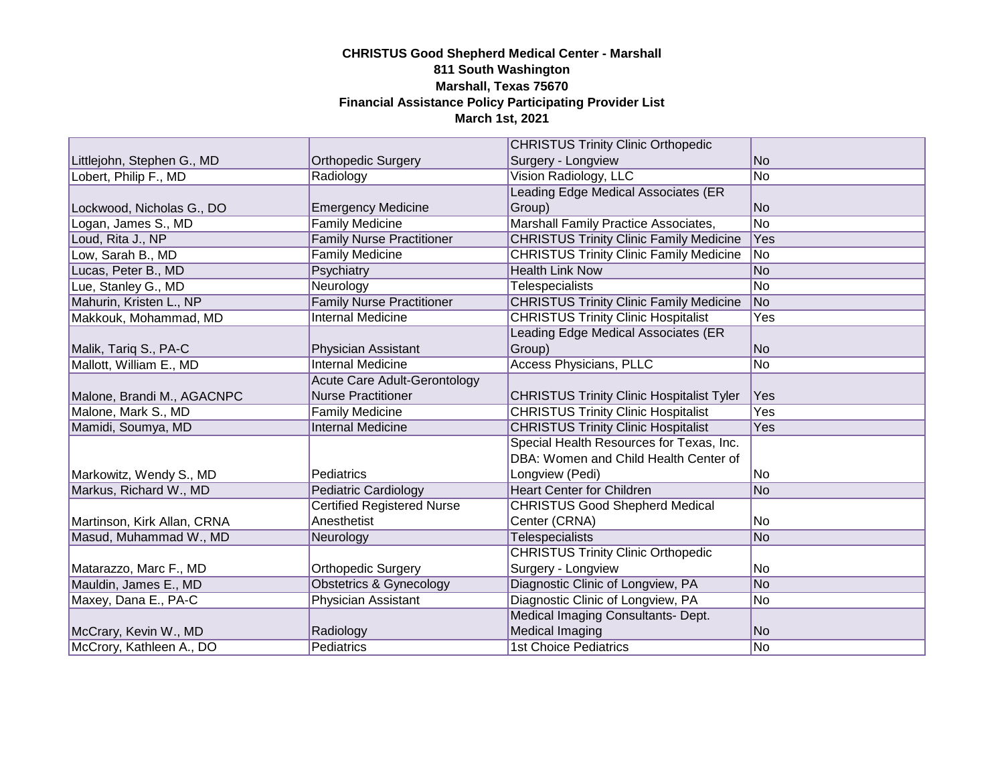|                             |                                     | <b>CHRISTUS Trinity Clinic Orthopedic</b>        |                |
|-----------------------------|-------------------------------------|--------------------------------------------------|----------------|
| Littlejohn, Stephen G., MD  | <b>Orthopedic Surgery</b>           | Surgery - Longview                               | N <sub>o</sub> |
| Lobert, Philip F., MD       | Radiology                           | <b>Vision Radiology, LLC</b>                     | No             |
|                             |                                     | Leading Edge Medical Associates (ER              |                |
| Lockwood, Nicholas G., DO   | <b>Emergency Medicine</b>           | Group)                                           | No             |
| Logan, James S., MD         | <b>Family Medicine</b>              | Marshall Family Practice Associates,             | No             |
| Loud, Rita J., NP           | <b>Family Nurse Practitioner</b>    | <b>CHRISTUS Trinity Clinic Family Medicine</b>   | Yes            |
| Low, Sarah B., MD           | <b>Family Medicine</b>              | <b>CHRISTUS Trinity Clinic Family Medicine</b>   | No.            |
| Lucas, Peter B., MD         | Psychiatry                          | <b>Health Link Now</b>                           | No             |
| Lue, Stanley G., MD         | Neurology                           | <b>Telespecialists</b>                           | No             |
| Mahurin, Kristen L., NP     | <b>Family Nurse Practitioner</b>    | <b>CHRISTUS Trinity Clinic Family Medicine</b>   | No             |
| Makkouk, Mohammad, MD       | <b>Internal Medicine</b>            | <b>CHRISTUS Trinity Clinic Hospitalist</b>       | Yes            |
|                             |                                     | Leading Edge Medical Associates (ER              |                |
| Malik, Tariq S., PA-C       | Physician Assistant                 | Group)                                           | No             |
| Mallott, William E., MD     | <b>Internal Medicine</b>            | <b>Access Physicians, PLLC</b>                   | No             |
|                             | <b>Acute Care Adult-Gerontology</b> |                                                  |                |
| Malone, Brandi M., AGACNPC  | <b>Nurse Practitioner</b>           | <b>CHRISTUS Trinity Clinic Hospitalist Tyler</b> | Yes            |
| Malone, Mark S., MD         | <b>Family Medicine</b>              | <b>CHRISTUS Trinity Clinic Hospitalist</b>       | Yes            |
| Mamidi, Soumya, MD          | <b>Internal Medicine</b>            | <b>CHRISTUS Trinity Clinic Hospitalist</b>       | Yes            |
|                             |                                     | Special Health Resources for Texas, Inc.         |                |
|                             |                                     | DBA: Women and Child Health Center of            |                |
| Markowitz, Wendy S., MD     | Pediatrics                          | Longview (Pedi)                                  | No             |
| Markus, Richard W., MD      | <b>Pediatric Cardiology</b>         | <b>Heart Center for Children</b>                 | No.            |
|                             | <b>Certified Registered Nurse</b>   | <b>CHRISTUS Good Shepherd Medical</b>            |                |
| Martinson, Kirk Allan, CRNA | Anesthetist                         | Center (CRNA)                                    | No             |
| Masud, Muhammad W., MD      | Neurology                           | <b>Telespecialists</b>                           | No             |
|                             |                                     | <b>CHRISTUS Trinity Clinic Orthopedic</b>        |                |
| Matarazzo, Marc F., MD      | <b>Orthopedic Surgery</b>           | Surgery - Longview                               | No             |
| Mauldin, James E., MD       | <b>Obstetrics &amp; Gynecology</b>  | Diagnostic Clinic of Longview, PA                | No             |
| Maxey, Dana E., PA-C        | <b>Physician Assistant</b>          | Diagnostic Clinic of Longview, PA                | No             |
|                             |                                     | Medical Imaging Consultants- Dept.               |                |
| McCrary, Kevin W., MD       | Radiology                           | Medical Imaging                                  | No             |
| McCrory, Kathleen A., DO    | Pediatrics                          | <b>1st Choice Pediatrics</b>                     | No.            |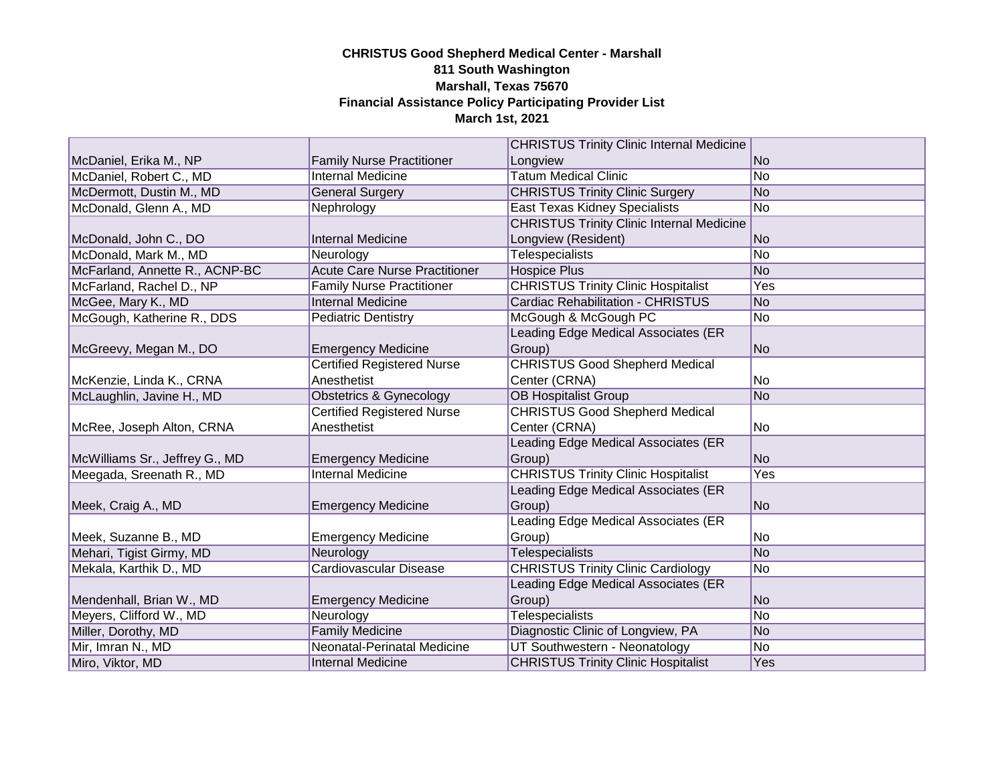|                                |                                      | <b>CHRISTUS Trinity Clinic Internal Medicine</b> |      |
|--------------------------------|--------------------------------------|--------------------------------------------------|------|
| McDaniel, Erika M., NP         | <b>Family Nurse Practitioner</b>     | Longview                                         | lNo. |
| McDaniel, Robert C., MD        | <b>Internal Medicine</b>             | <b>Tatum Medical Clinic</b>                      | No   |
| McDermott, Dustin M., MD       | <b>General Surgery</b>               | <b>CHRISTUS Trinity Clinic Surgery</b>           | No   |
| McDonald, Glenn A., MD         | Nephrology                           | <b>East Texas Kidney Specialists</b>             | No.  |
|                                |                                      | <b>CHRISTUS Trinity Clinic Internal Medicine</b> |      |
| McDonald, John C., DO          | Internal Medicine                    | Longview (Resident)                              | lNo. |
| McDonald, Mark M., MD          | Neurology                            | Telespecialists                                  | No   |
| McFarland, Annette R., ACNP-BC | <b>Acute Care Nurse Practitioner</b> | <b>Hospice Plus</b>                              | No   |
| McFarland, Rachel D., NP       | <b>Family Nurse Practitioner</b>     | <b>CHRISTUS Trinity Clinic Hospitalist</b>       | Yes  |
| McGee, Mary K., MD             | <b>Internal Medicine</b>             | <b>Cardiac Rehabilitation - CHRISTUS</b>         | No   |
| McGough, Katherine R., DDS     | <b>Pediatric Dentistry</b>           | McGough & McGough PC                             | No   |
|                                |                                      | Leading Edge Medical Associates (ER              |      |
| McGreevy, Megan M., DO         | <b>Emergency Medicine</b>            | Group)                                           | No   |
|                                | <b>Certified Registered Nurse</b>    | <b>CHRISTUS Good Shepherd Medical</b>            |      |
| McKenzie, Linda K., CRNA       | Anesthetist                          | Center (CRNA)                                    | No   |
| McLaughlin, Javine H., MD      | Obstetrics & Gynecology              | <b>OB Hospitalist Group</b>                      | No.  |
|                                | <b>Certified Registered Nurse</b>    | <b>CHRISTUS Good Shepherd Medical</b>            |      |
| McRee, Joseph Alton, CRNA      | Anesthetist                          | Center (CRNA)                                    | No   |
|                                |                                      | Leading Edge Medical Associates (ER              |      |
| McWilliams Sr., Jeffrey G., MD | <b>Emergency Medicine</b>            | Group)                                           | No.  |
| Meegada, Sreenath R., MD       | <b>Internal Medicine</b>             | <b>CHRISTUS Trinity Clinic Hospitalist</b>       | Yes  |
|                                |                                      | Leading Edge Medical Associates (ER              |      |
| Meek, Craig A., MD             | <b>Emergency Medicine</b>            | Group)                                           | No   |
|                                |                                      | Leading Edge Medical Associates (ER              |      |
| Meek, Suzanne B., MD           | <b>Emergency Medicine</b>            | Group)                                           | No   |
| Mehari, Tigist Girmy, MD       | Neurology                            | <b>Telespecialists</b>                           | No   |
| Mekala, Karthik D., MD         | Cardiovascular Disease               | <b>CHRISTUS Trinity Clinic Cardiology</b>        | No   |
|                                |                                      | Leading Edge Medical Associates (ER              |      |
| Mendenhall, Brian W., MD       | <b>Emergency Medicine</b>            | Group)                                           | No   |
| Meyers, Clifford W., MD        | Neurology                            | <b>Telespecialists</b>                           | No   |
| Miller, Dorothy, MD            | <b>Family Medicine</b>               | Diagnostic Clinic of Longview, PA                | No.  |
| Mir, Imran N., MD              | Neonatal-Perinatal Medicine          | UT Southwestern - Neonatology                    | No   |
| Miro, Viktor, MD               | Internal Medicine                    | <b>CHRISTUS Trinity Clinic Hospitalist</b>       | Yes  |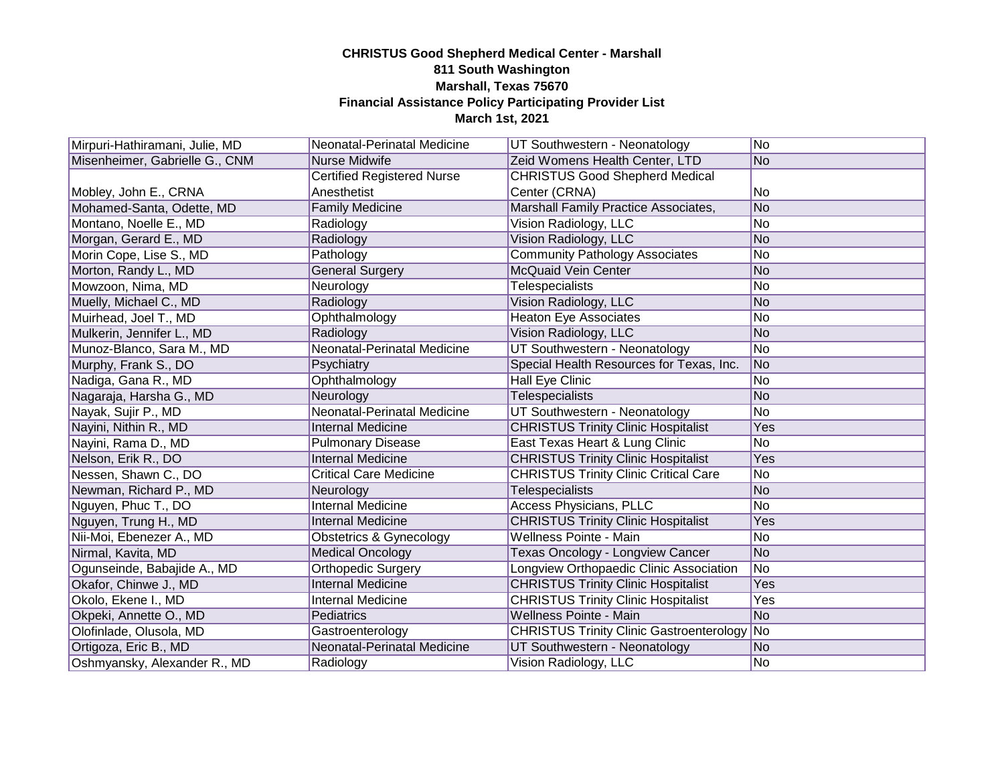| Mirpuri-Hathiramani, Julie, MD | Neonatal-Perinatal Medicine       | UT Southwestern - Neonatology                | No.            |
|--------------------------------|-----------------------------------|----------------------------------------------|----------------|
| Misenheimer, Gabrielle G., CNM | Nurse Midwife                     | Zeid Womens Health Center, LTD               | N <sub>o</sub> |
|                                | <b>Certified Registered Nurse</b> | <b>CHRISTUS Good Shepherd Medical</b>        |                |
| Mobley, John E., CRNA          | Anesthetist                       | Center (CRNA)                                | lNo            |
| Mohamed-Santa, Odette, MD      | <b>Family Medicine</b>            | Marshall Family Practice Associates,         | No             |
| Montano, Noelle E., MD         | Radiology                         | Vision Radiology, LLC                        | No             |
| Morgan, Gerard E., MD          | Radiology                         | Vision Radiology, LLC                        | No             |
| Morin Cope, Lise S., MD        | Pathology                         | <b>Community Pathology Associates</b>        | No             |
| Morton, Randy L., MD           | <b>General Surgery</b>            | <b>McQuaid Vein Center</b>                   | No             |
| Mowzoon, Nima, MD              | Neurology                         | Telespecialists                              | No             |
| Muelly, Michael C., MD         | Radiology                         | Vision Radiology, LLC                        | No             |
| Muirhead, Joel T., MD          | Ophthalmology                     | <b>Heaton Eye Associates</b>                 | No             |
| Mulkerin, Jennifer L., MD      | Radiology                         | Vision Radiology, LLC                        | No             |
| Munoz-Blanco, Sara M., MD      | Neonatal-Perinatal Medicine       | UT Southwestern - Neonatology                | No             |
| Murphy, Frank S., DO           | Psychiatry                        | Special Health Resources for Texas, Inc.     | No             |
| Nadiga, Gana R., MD            | Ophthalmology                     | <b>Hall Eye Clinic</b>                       | No             |
| Nagaraja, Harsha G., MD        | Neurology                         | Telespecialists                              | No             |
| Nayak, Sujir P., MD            | Neonatal-Perinatal Medicine       | UT Southwestern - Neonatology                | <b>No</b>      |
| Nayini, Nithin R., MD          | <b>Internal Medicine</b>          | <b>CHRISTUS Trinity Clinic Hospitalist</b>   | Yes            |
| Nayini, Rama D., MD            | <b>Pulmonary Disease</b>          | East Texas Heart & Lung Clinic               | <b>No</b>      |
| Nelson, Erik R., DO            | <b>Internal Medicine</b>          | <b>CHRISTUS Trinity Clinic Hospitalist</b>   | Yes            |
| Nessen, Shawn C., DO           | <b>Critical Care Medicine</b>     | <b>CHRISTUS Trinity Clinic Critical Care</b> | No             |
| Newman, Richard P., MD         | Neurology                         | <b>Telespecialists</b>                       | No             |
| Nguyen, Phuc T., DO            | <b>Internal Medicine</b>          | <b>Access Physicians, PLLC</b>               | No             |
| Nguyen, Trung H., MD           | <b>Internal Medicine</b>          | <b>CHRISTUS Trinity Clinic Hospitalist</b>   | Yes            |
| Nii-Moi, Ebenezer A., MD       | Obstetrics & Gynecology           | <b>Wellness Pointe - Main</b>                | No             |
| Nirmal, Kavita, MD             | <b>Medical Oncology</b>           | Texas Oncology - Longview Cancer             | No             |
| Ogunseinde, Babajide A., MD    | Orthopedic Surgery                | Longview Orthopaedic Clinic Association      | No             |
| Okafor, Chinwe J., MD          | <b>Internal Medicine</b>          | <b>CHRISTUS Trinity Clinic Hospitalist</b>   | Yes            |
| Okolo, Ekene I., MD            | <b>Internal Medicine</b>          | <b>CHRISTUS Trinity Clinic Hospitalist</b>   | Yes            |
| Okpeki, Annette O., MD         | Pediatrics                        | <b>Wellness Pointe - Main</b>                | No             |
| Olofinlade, Olusola, MD        | Gastroenterology                  | CHRISTUS Trinity Clinic Gastroenterology No  |                |
| Ortigoza, Eric B., MD          | Neonatal-Perinatal Medicine       | UT Southwestern - Neonatology                | No             |
| Oshmyansky, Alexander R., MD   | Radiology                         | Vision Radiology, LLC                        | No.            |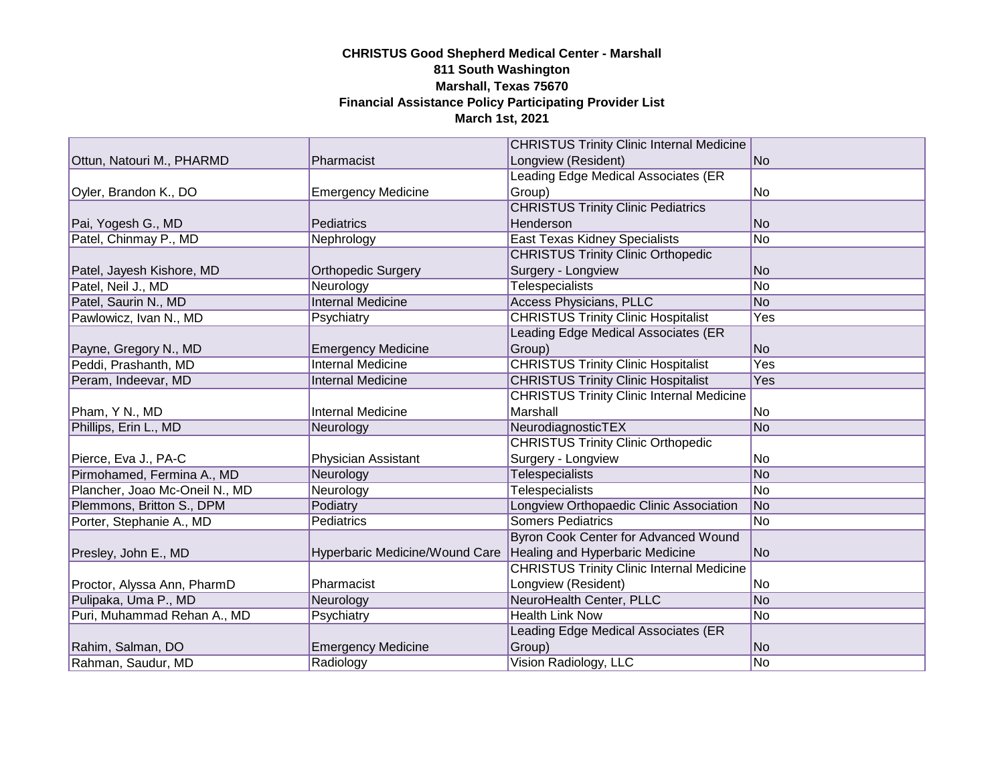|                                |                                | <b>CHRISTUS Trinity Clinic Internal Medicine</b> |                |
|--------------------------------|--------------------------------|--------------------------------------------------|----------------|
| Ottun, Natouri M., PHARMD      | Pharmacist                     | Longview (Resident)                              | lNo.           |
|                                |                                | Leading Edge Medical Associates (ER              |                |
| Oyler, Brandon K., DO          | <b>Emergency Medicine</b>      | Group)                                           | No             |
|                                |                                | <b>CHRISTUS Trinity Clinic Pediatrics</b>        |                |
| Pai, Yogesh G., MD             | Pediatrics                     | Henderson                                        | No.            |
| Patel, Chinmay P., MD          | Nephrology                     | <b>East Texas Kidney Specialists</b>             | No             |
|                                |                                | <b>CHRISTUS Trinity Clinic Orthopedic</b>        |                |
| Patel, Jayesh Kishore, MD      | Orthopedic Surgery             | Surgery - Longview                               | No             |
| Patel, Neil J., MD             | Neurology                      | <b>Telespecialists</b>                           | No             |
| Patel, Saurin N., MD           | <b>Internal Medicine</b>       | <b>Access Physicians, PLLC</b>                   | N <sub>o</sub> |
| Pawlowicz, Ivan N., MD         | Psychiatry                     | <b>CHRISTUS Trinity Clinic Hospitalist</b>       | Yes            |
|                                |                                | Leading Edge Medical Associates (ER              |                |
| Payne, Gregory N., MD          | <b>Emergency Medicine</b>      | Group)                                           | No             |
| Peddi, Prashanth, MD           | <b>Internal Medicine</b>       | <b>CHRISTUS Trinity Clinic Hospitalist</b>       | Yes            |
| Peram, Indeevar, MD            | <b>Internal Medicine</b>       | <b>CHRISTUS Trinity Clinic Hospitalist</b>       | Yes            |
|                                |                                | <b>CHRISTUS Trinity Clinic Internal Medicine</b> |                |
| Pham, Y N., MD                 | <b>Internal Medicine</b>       | Marshall                                         | No             |
| Phillips, Erin L., MD          | Neurology                      | NeurodiagnosticTEX                               | No             |
|                                |                                | <b>CHRISTUS Trinity Clinic Orthopedic</b>        |                |
| Pierce, Eva J., PA-C           | Physician Assistant            | Surgery - Longview                               | No             |
| Pirmohamed, Fermina A., MD     | Neurology                      | <b>Telespecialists</b>                           | No             |
| Plancher, Joao Mc-Oneil N., MD | Neurology                      | <b>Telespecialists</b>                           | No             |
| Plemmons, Britton S., DPM      | Podiatry                       | Longview Orthopaedic Clinic Association          | No             |
| Porter, Stephanie A., MD       | Pediatrics                     | <b>Somers Pediatrics</b>                         | No             |
|                                |                                | <b>Byron Cook Center for Advanced Wound</b>      |                |
| Presley, John E., MD           | Hyperbaric Medicine/Wound Care | Healing and Hyperbaric Medicine                  | No             |
|                                |                                | <b>CHRISTUS Trinity Clinic Internal Medicine</b> |                |
| Proctor, Alyssa Ann, PharmD    | Pharmacist                     | Longview (Resident)                              | No             |
| Pulipaka, Uma P., MD           | Neurology                      | NeuroHealth Center, PLLC                         | No             |
| Puri, Muhammad Rehan A., MD    | Psychiatry                     | <b>Health Link Now</b>                           | No             |
|                                |                                | Leading Edge Medical Associates (ER              |                |
| Rahim, Salman, DO              | <b>Emergency Medicine</b>      | Group)                                           | No             |
| Rahman, Saudur, MD             | Radiology                      | Vision Radiology, LLC                            | No             |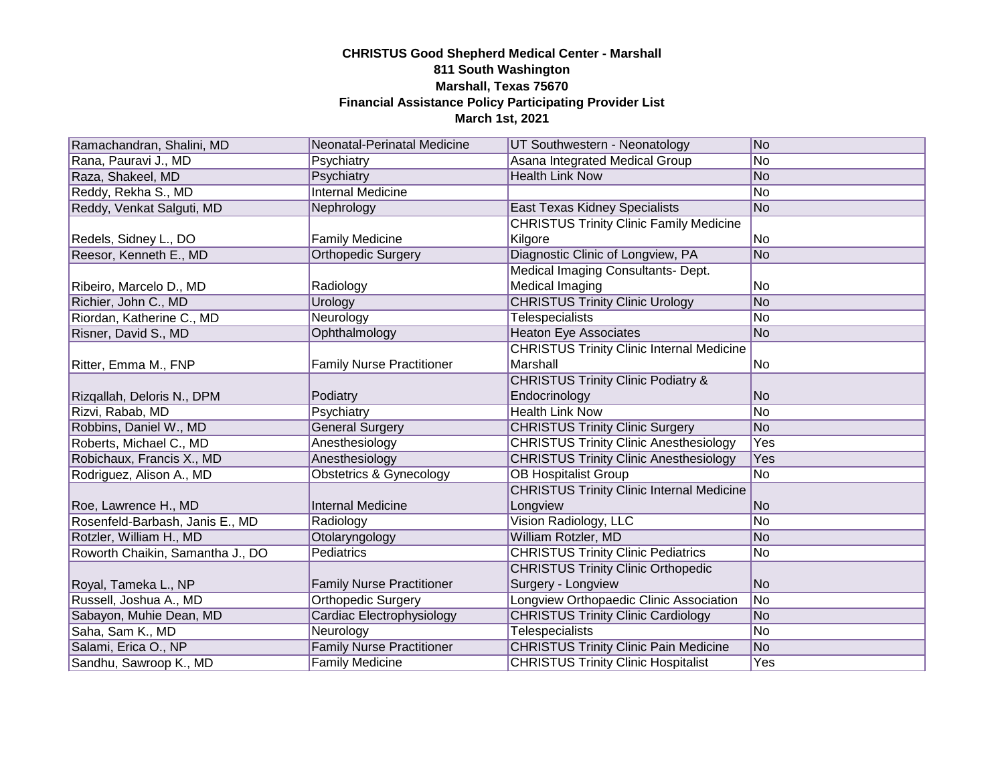| Ramachandran, Shalini, MD        | Neonatal-Perinatal Medicine        | UT Southwestern - Neonatology                    | No              |
|----------------------------------|------------------------------------|--------------------------------------------------|-----------------|
| Rana, Pauravi J., MD             | Psychiatry                         | Asana Integrated Medical Group                   | No              |
| Raza, Shakeel, MD                | Psychiatry                         | <b>Health Link Now</b>                           | No              |
| Reddy, Rekha S., MD              | <b>Internal Medicine</b>           |                                                  | No              |
| Reddy, Venkat Salguti, MD        | Nephrology                         | <b>East Texas Kidney Specialists</b>             | No              |
|                                  |                                    | <b>CHRISTUS Trinity Clinic Family Medicine</b>   |                 |
| Redels, Sidney L., DO            | <b>Family Medicine</b>             | Kilgore                                          | No              |
| Reesor, Kenneth E., MD           | <b>Orthopedic Surgery</b>          | Diagnostic Clinic of Longview, PA                | No              |
|                                  |                                    | Medical Imaging Consultants- Dept.               |                 |
| Ribeiro, Marcelo D., MD          | Radiology                          | <b>Medical Imaging</b>                           | No              |
| Richier, John C., MD             | Urology                            | <b>CHRISTUS Trinity Clinic Urology</b>           | No              |
| Riordan, Katherine C., MD        | Neurology                          | <b>Telespecialists</b>                           | No              |
| Risner, David S., MD             | Ophthalmology                      | <b>Heaton Eye Associates</b>                     | No              |
|                                  |                                    | <b>CHRISTUS Trinity Clinic Internal Medicine</b> |                 |
| Ritter, Emma M., FNP             | <b>Family Nurse Practitioner</b>   | Marshall                                         | No              |
|                                  |                                    | <b>CHRISTUS Trinity Clinic Podiatry &amp;</b>    |                 |
| Rizgallah, Deloris N., DPM       | Podiatry                           | Endocrinology                                    | No.             |
| Rizvi, Rabab, MD                 | Psychiatry                         | <b>Health Link Now</b>                           | No              |
| Robbins, Daniel W., MD           | <b>General Surgery</b>             | <b>CHRISTUS Trinity Clinic Surgery</b>           | No              |
| Roberts, Michael C., MD          | Anesthesiology                     | <b>CHRISTUS Trinity Clinic Anesthesiology</b>    | Yes             |
| Robichaux, Francis X., MD        | Anesthesiology                     | <b>CHRISTUS Trinity Clinic Anesthesiology</b>    | Yes             |
| Rodriguez, Alison A., MD         | <b>Obstetrics &amp; Gynecology</b> | <b>OB Hospitalist Group</b>                      | No              |
|                                  |                                    | <b>CHRISTUS Trinity Clinic Internal Medicine</b> |                 |
| Roe, Lawrence H., MD             | <b>Internal Medicine</b>           | Longview                                         | No.             |
| Rosenfeld-Barbash, Janis E., MD  | Radiology                          | Vision Radiology, LLC                            | No              |
| Rotzler, William H., MD          | Otolaryngology                     | William Rotzler, MD                              | No              |
| Roworth Chaikin, Samantha J., DO | Pediatrics                         | <b>CHRISTUS Trinity Clinic Pediatrics</b>        | No              |
|                                  |                                    | <b>CHRISTUS Trinity Clinic Orthopedic</b>        |                 |
| Royal, Tameka L., NP             | <b>Family Nurse Practitioner</b>   | Surgery - Longview                               | No              |
| Russell, Joshua A., MD           | Orthopedic Surgery                 | Longview Orthopaedic Clinic Association          | $\overline{No}$ |
| Sabayon, Muhie Dean, MD          | Cardiac Electrophysiology          | <b>CHRISTUS Trinity Clinic Cardiology</b>        | No              |
| Saha, Sam K., MD                 | Neurology                          | Telespecialists                                  | No              |
| Salami, Erica O., NP             | <b>Family Nurse Practitioner</b>   | <b>CHRISTUS Trinity Clinic Pain Medicine</b>     | No              |
| Sandhu, Sawroop K., MD           | <b>Family Medicine</b>             | <b>CHRISTUS Trinity Clinic Hospitalist</b>       | Yes             |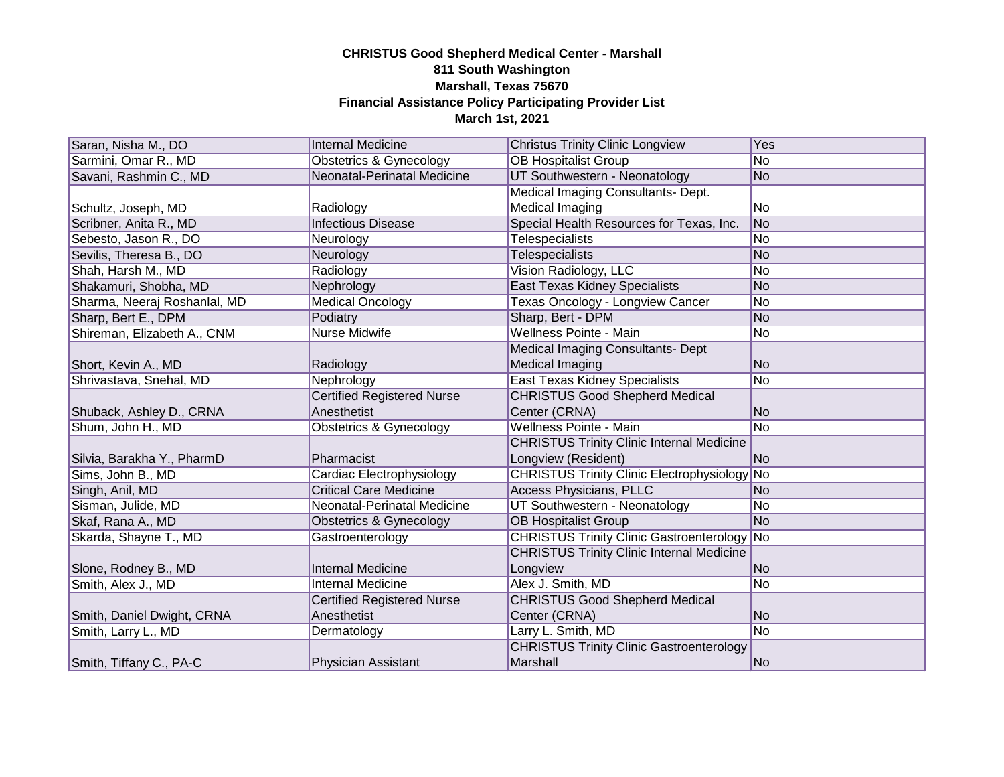| Saran, Nisha M., DO          | <b>Internal Medicine</b>           | <b>Christus Trinity Clinic Longview</b>             | Yes            |
|------------------------------|------------------------------------|-----------------------------------------------------|----------------|
| Sarmini, Omar R., MD         | Obstetrics & Gynecology            | <b>OB Hospitalist Group</b>                         | No             |
| Savani, Rashmin C., MD       | Neonatal-Perinatal Medicine        | UT Southwestern - Neonatology                       | No             |
|                              |                                    | Medical Imaging Consultants- Dept.                  |                |
| Schultz, Joseph, MD          | Radiology                          | Medical Imaging                                     | No             |
| Scribner, Anita R., MD       | <b>Infectious Disease</b>          | Special Health Resources for Texas, Inc.            | No             |
| Sebesto, Jason R., DO        | Neurology                          | Telespecialists                                     | No             |
| Sevilis, Theresa B., DO      | Neurology                          | <b>Telespecialists</b>                              | No             |
| Shah, Harsh M., MD           | Radiology                          | Vision Radiology, LLC                               | lNo.           |
| Shakamuri, Shobha, MD        | Nephrology                         | <b>East Texas Kidney Specialists</b>                | No             |
| Sharma, Neeraj Roshanlal, MD | <b>Medical Oncology</b>            | Texas Oncology - Longview Cancer                    | No             |
| Sharp, Bert E., DPM          | Podiatry                           | Sharp, Bert - DPM                                   | No             |
| Shireman, Elizabeth A., CNM  | Nurse Midwife                      | Wellness Pointe - Main                              | No             |
|                              |                                    | Medical Imaging Consultants- Dept                   |                |
| Short, Kevin A., MD          | Radiology                          | Medical Imaging                                     | No             |
| Shrivastava, Snehal, MD      | Nephrology                         | <b>East Texas Kidney Specialists</b>                | N <sub>o</sub> |
|                              | <b>Certified Registered Nurse</b>  | <b>CHRISTUS Good Shepherd Medical</b>               |                |
| Shuback, Ashley D., CRNA     | Anesthetist                        | Center (CRNA)                                       | N <sub>o</sub> |
| Shum, John H., MD            | <b>Obstetrics &amp; Gynecology</b> | Wellness Pointe - Main                              | No             |
|                              |                                    | <b>CHRISTUS Trinity Clinic Internal Medicine</b>    |                |
| Silvia, Barakha Y., PharmD   | Pharmacist                         | Longview (Resident)                                 | No             |
| Sims, John B., MD            | Cardiac Electrophysiology          | <b>CHRISTUS Trinity Clinic Electrophysiology No</b> |                |
| Singh, Anil, MD              | <b>Critical Care Medicine</b>      | <b>Access Physicians, PLLC</b>                      | <b>No</b>      |
| Sisman, Julide, MD           | Neonatal-Perinatal Medicine        | UT Southwestern - Neonatology                       | No             |
| Skaf, Rana A., MD            | Obstetrics & Gynecology            | <b>OB Hospitalist Group</b>                         | No             |
| Skarda, Shayne T., MD        | Gastroenterology                   | <b>CHRISTUS Trinity Clinic Gastroenterology No</b>  |                |
|                              |                                    | <b>CHRISTUS Trinity Clinic Internal Medicine</b>    |                |
| Slone, Rodney B., MD         | <b>Internal Medicine</b>           | Longview                                            | N <sub>o</sub> |
| Smith, Alex J., MD           | <b>Internal Medicine</b>           | Alex J. Smith, MD                                   | No             |
|                              | <b>Certified Registered Nurse</b>  | <b>CHRISTUS Good Shepherd Medical</b>               |                |
| Smith, Daniel Dwight, CRNA   | Anesthetist                        | Center (CRNA)                                       | No.            |
| Smith, Larry L., MD          | Dermatology                        | Larry L. Smith, MD                                  | No             |
|                              |                                    | <b>CHRISTUS Trinity Clinic Gastroenterology</b>     |                |
| Smith, Tiffany C., PA-C      | <b>Physician Assistant</b>         | Marshall                                            | No             |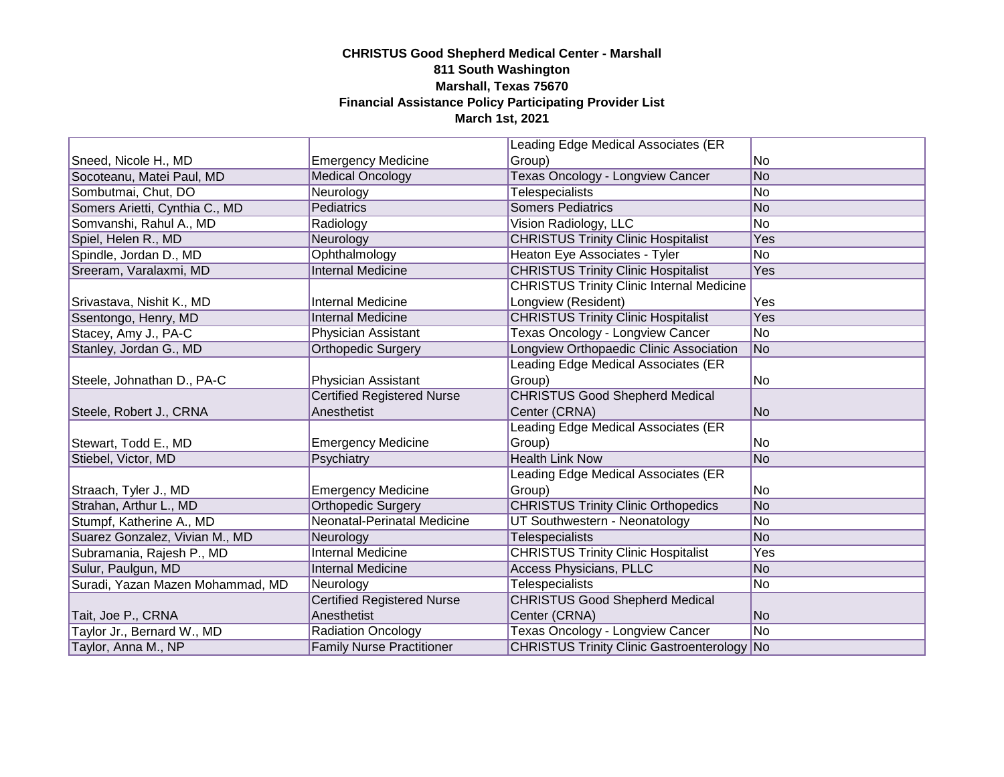|                                  |                                   | Leading Edge Medical Associates (ER              |           |
|----------------------------------|-----------------------------------|--------------------------------------------------|-----------|
| Sneed, Nicole H., MD             | <b>Emergency Medicine</b>         | Group)                                           | lNo       |
| Socoteanu, Matei Paul, MD        | <b>Medical Oncology</b>           | <b>Texas Oncology - Longview Cancer</b>          | No        |
| Sombutmai, Chut, DO              | Neurology                         | Telespecialists                                  | No        |
| Somers Arietti, Cynthia C., MD   | Pediatrics                        | <b>Somers Pediatrics</b>                         | No        |
| Somvanshi, Rahul A., MD          | Radiology                         | Vision Radiology, LLC                            | No        |
| Spiel, Helen R., MD              | Neurology                         | <b>CHRISTUS Trinity Clinic Hospitalist</b>       | Yes       |
| Spindle, Jordan D., MD           | Ophthalmology                     | Heaton Eye Associates - Tyler                    | <b>No</b> |
| Sreeram, Varalaxmi, MD           | <b>Internal Medicine</b>          | <b>CHRISTUS Trinity Clinic Hospitalist</b>       | Yes       |
|                                  |                                   | <b>CHRISTUS Trinity Clinic Internal Medicine</b> |           |
| Srivastava, Nishit K., MD        | <b>Internal Medicine</b>          | Longview (Resident)                              | Yes       |
| Ssentongo, Henry, MD             | <b>Internal Medicine</b>          | <b>CHRISTUS Trinity Clinic Hospitalist</b>       | Yes       |
| Stacey, Amy J., PA-C             | Physician Assistant               | Texas Oncology - Longview Cancer                 | <b>No</b> |
| Stanley, Jordan G., MD           | <b>Orthopedic Surgery</b>         | Longview Orthopaedic Clinic Association          | No        |
|                                  |                                   | Leading Edge Medical Associates (ER              |           |
| Steele, Johnathan D., PA-C       | Physician Assistant               | Group)                                           | No        |
|                                  | <b>Certified Registered Nurse</b> | <b>CHRISTUS Good Shepherd Medical</b>            |           |
| Steele, Robert J., CRNA          | Anesthetist                       | Center (CRNA)                                    | lNo.      |
|                                  |                                   | Leading Edge Medical Associates (ER              |           |
| Stewart, Todd E., MD             | <b>Emergency Medicine</b>         | Group)                                           | lNo.      |
| Stiebel, Victor, MD              | Psychiatry                        | <b>Health Link Now</b>                           | No.       |
|                                  |                                   | Leading Edge Medical Associates (ER              |           |
| Straach, Tyler J., MD            | <b>Emergency Medicine</b>         | Group)                                           | No        |
| Strahan, Arthur L., MD           | <b>Orthopedic Surgery</b>         | <b>CHRISTUS Trinity Clinic Orthopedics</b>       | No        |
| Stumpf, Katherine A., MD         | Neonatal-Perinatal Medicine       | UT Southwestern - Neonatology                    | No        |
| Suarez Gonzalez, Vivian M., MD   | Neurology                         | <b>Telespecialists</b>                           | No        |
| Subramania, Rajesh P., MD        | <b>Internal Medicine</b>          | <b>CHRISTUS Trinity Clinic Hospitalist</b>       | Yes       |
| Sulur, Paulgun, MD               | <b>Internal Medicine</b>          | <b>Access Physicians, PLLC</b>                   | No        |
| Suradi, Yazan Mazen Mohammad, MD | Neurology                         | <b>Telespecialists</b>                           | No        |
|                                  | <b>Certified Registered Nurse</b> | <b>CHRISTUS Good Shepherd Medical</b>            |           |
| Tait, Joe P., CRNA               | Anesthetist                       | Center (CRNA)                                    | No        |
| Taylor Jr., Bernard W., MD       | <b>Radiation Oncology</b>         | <b>Texas Oncology - Longview Cancer</b>          | No        |
| Taylor, Anna M., NP              | <b>Family Nurse Practitioner</b>  | CHRISTUS Trinity Clinic Gastroenterology No      |           |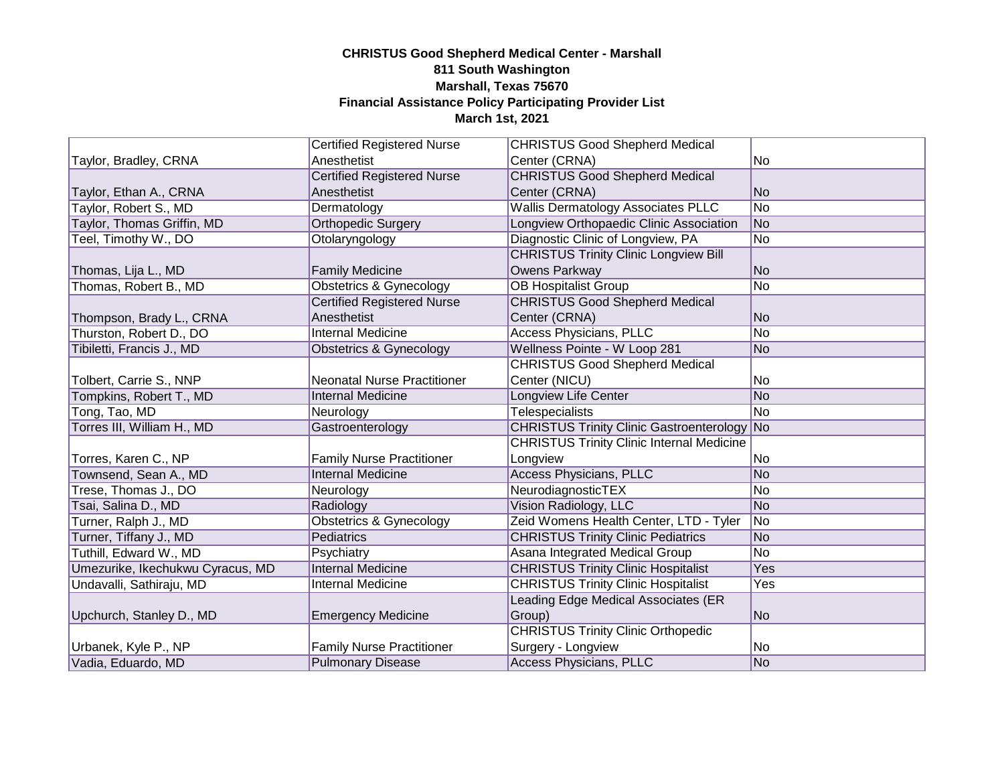|                                  | <b>Certified Registered Nurse</b>  | <b>CHRISTUS Good Shepherd Medical</b>              |                |
|----------------------------------|------------------------------------|----------------------------------------------------|----------------|
| Taylor, Bradley, CRNA            | Anesthetist                        | Center (CRNA)                                      | No.            |
|                                  | <b>Certified Registered Nurse</b>  | <b>CHRISTUS Good Shepherd Medical</b>              |                |
| Taylor, Ethan A., CRNA           | Anesthetist                        | Center (CRNA)                                      | <b>No</b>      |
| Taylor, Robert S., MD            | Dermatology                        | <b>Wallis Dermatology Associates PLLC</b>          | No             |
| Taylor, Thomas Griffin, MD       | <b>Orthopedic Surgery</b>          | Longview Orthopaedic Clinic Association            | No             |
| Teel, Timothy W., DO             | Otolaryngology                     | Diagnostic Clinic of Longview, PA                  | No             |
|                                  |                                    | <b>CHRISTUS Trinity Clinic Longview Bill</b>       |                |
| Thomas, Lija L., MD              | <b>Family Medicine</b>             | Owens Parkway                                      | No             |
| Thomas, Robert B., MD            | Obstetrics & Gynecology            | <b>OB Hospitalist Group</b>                        | No             |
|                                  | <b>Certified Registered Nurse</b>  | <b>CHRISTUS Good Shepherd Medical</b>              |                |
| Thompson, Brady L., CRNA         | Anesthetist                        | Center (CRNA)                                      | N <sub>o</sub> |
| Thurston, Robert D., DO          | <b>Internal Medicine</b>           | Access Physicians, PLLC                            | No             |
| Tibiletti, Francis J., MD        | <b>Obstetrics &amp; Gynecology</b> | Wellness Pointe - W Loop 281                       | No             |
|                                  |                                    | <b>CHRISTUS Good Shepherd Medical</b>              |                |
| Tolbert, Carrie S., NNP          | <b>Neonatal Nurse Practitioner</b> | Center (NICU)                                      | No             |
| Tompkins, Robert T., MD          | <b>Internal Medicine</b>           | Longview Life Center                               | No             |
| Tong, Tao, MD                    | Neurology                          | <b>Telespecialists</b>                             | No             |
| Torres III, William H., MD       | Gastroenterology                   | <b>CHRISTUS Trinity Clinic Gastroenterology No</b> |                |
|                                  |                                    | <b>CHRISTUS Trinity Clinic Internal Medicine</b>   |                |
| Torres, Karen C., NP             | <b>Family Nurse Practitioner</b>   | Longview                                           | No.            |
| Townsend, Sean A., MD            | <b>Internal Medicine</b>           | <b>Access Physicians, PLLC</b>                     | N <sub>o</sub> |
| Trese, Thomas J., DO             | Neurology                          | NeurodiagnosticTEX                                 | No             |
| Tsai, Salina D., MD              | Radiology                          | Vision Radiology, LLC                              | No.            |
| Turner, Ralph J., MD             | <b>Obstetrics &amp; Gynecology</b> | Zeid Womens Health Center, LTD - Tyler             | No             |
| Turner, Tiffany J., MD           | Pediatrics                         | <b>CHRISTUS Trinity Clinic Pediatrics</b>          | No             |
| Tuthill, Edward W., MD           | Psychiatry                         | Asana Integrated Medical Group                     | No             |
| Umezurike, Ikechukwu Cyracus, MD | <b>Internal Medicine</b>           | <b>CHRISTUS Trinity Clinic Hospitalist</b>         | Yes            |
| Undavalli, Sathiraju, MD         | <b>Internal Medicine</b>           | <b>CHRISTUS Trinity Clinic Hospitalist</b>         | <b>Yes</b>     |
|                                  |                                    | Leading Edge Medical Associates (ER                |                |
| Upchurch, Stanley D., MD         | <b>Emergency Medicine</b>          | Group)                                             | N <sub>o</sub> |
|                                  |                                    | <b>CHRISTUS Trinity Clinic Orthopedic</b>          |                |
| Urbanek, Kyle P., NP             | <b>Family Nurse Practitioner</b>   | Surgery - Longview                                 | No.            |
| Vadia, Eduardo, MD               | <b>Pulmonary Disease</b>           | Access Physicians, PLLC                            | N <sub>o</sub> |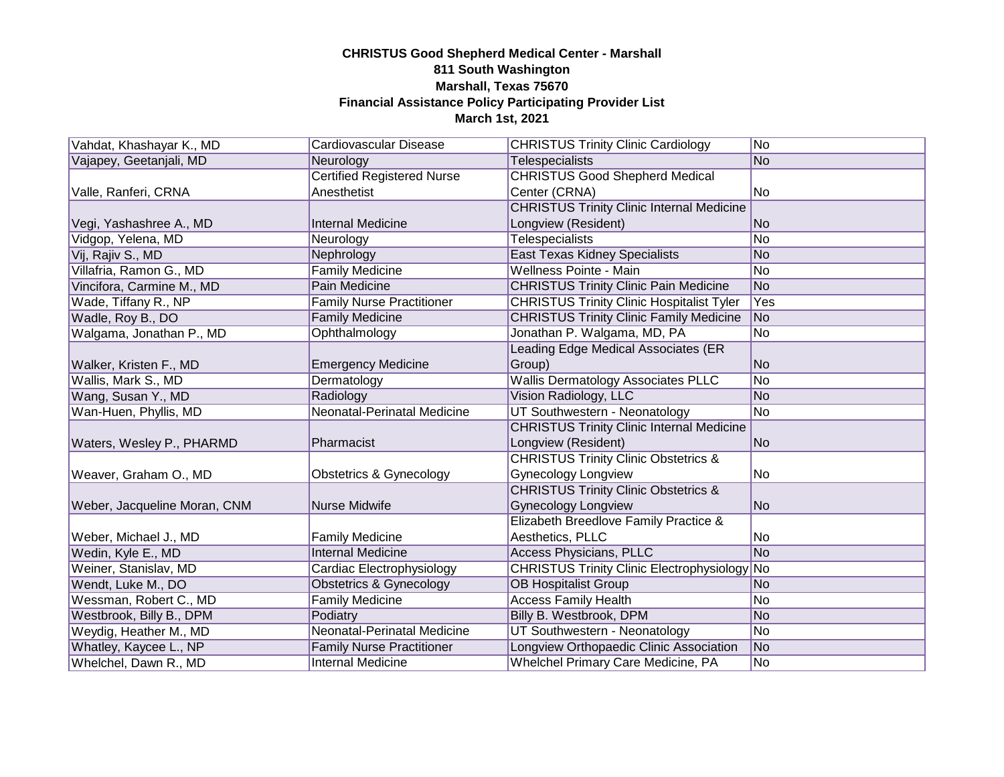| Vahdat, Khashayar K., MD     | Cardiovascular Disease             | <b>CHRISTUS Trinity Clinic Cardiology</b>           | No.            |
|------------------------------|------------------------------------|-----------------------------------------------------|----------------|
| Vajapey, Geetanjali, MD      | Neurology                          | <b>Telespecialists</b>                              | N <sub>o</sub> |
|                              | <b>Certified Registered Nurse</b>  | <b>CHRISTUS Good Shepherd Medical</b>               |                |
| Valle, Ranferi, CRNA         | Anesthetist                        | Center (CRNA)                                       | No             |
|                              |                                    | <b>CHRISTUS Trinity Clinic Internal Medicine</b>    |                |
| Vegi, Yashashree A., MD      | <b>Internal Medicine</b>           | Longview (Resident)                                 | No             |
| Vidgop, Yelena, MD           | Neurology                          | <b>Telespecialists</b>                              | No             |
| Vij, Rajiv S., MD            | Nephrology                         | <b>East Texas Kidney Specialists</b>                | <b>No</b>      |
| Villafria, Ramon G., MD      | <b>Family Medicine</b>             | Wellness Pointe - Main                              | No             |
| Vincifora, Carmine M., MD    | Pain Medicine                      | <b>CHRISTUS Trinity Clinic Pain Medicine</b>        | No             |
| Wade, Tiffany R., NP         | <b>Family Nurse Practitioner</b>   | <b>CHRISTUS Trinity Clinic Hospitalist Tyler</b>    | Yes            |
| Wadle, Roy B., DO            | <b>Family Medicine</b>             | <b>CHRISTUS Trinity Clinic Family Medicine</b>      | N <sub>o</sub> |
| Walgama, Jonathan P., MD     | Ophthalmology                      | Jonathan P. Walgama, MD, PA                         | No             |
|                              |                                    | Leading Edge Medical Associates (ER                 |                |
| Walker, Kristen F., MD       | <b>Emergency Medicine</b>          | Group)                                              | <b>No</b>      |
| Wallis, Mark S., MD          | Dermatology                        | <b>Wallis Dermatology Associates PLLC</b>           | No             |
| Wang, Susan Y., MD           | Radiology                          | Vision Radiology, LLC                               | <b>No</b>      |
| Wan-Huen, Phyllis, MD        | Neonatal-Perinatal Medicine        | UT Southwestern - Neonatology                       | No             |
|                              |                                    | <b>CHRISTUS Trinity Clinic Internal Medicine</b>    |                |
| Waters, Wesley P., PHARMD    | Pharmacist                         | Longview (Resident)                                 | <b>No</b>      |
|                              |                                    | <b>CHRISTUS Trinity Clinic Obstetrics &amp;</b>     |                |
| Weaver, Graham O., MD        | Obstetrics & Gynecology            | <b>Gynecology Longview</b>                          | No.            |
|                              |                                    | <b>CHRISTUS Trinity Clinic Obstetrics &amp;</b>     |                |
| Weber, Jacqueline Moran, CNM | Nurse Midwife                      | <b>Gynecology Longview</b>                          | No             |
|                              |                                    | Elizabeth Breedlove Family Practice &               |                |
| Weber, Michael J., MD        | <b>Family Medicine</b>             | Aesthetics, PLLC                                    | No.            |
| Wedin, Kyle E., MD           | <b>Internal Medicine</b>           | <b>Access Physicians, PLLC</b>                      | <b>No</b>      |
| Weiner, Stanislav, MD        | Cardiac Electrophysiology          | <b>CHRISTUS Trinity Clinic Electrophysiology No</b> |                |
| Wendt, Luke M., DO           | <b>Obstetrics &amp; Gynecology</b> | <b>OB Hospitalist Group</b>                         | No.            |
| Wessman, Robert C., MD       | <b>Family Medicine</b>             | <b>Access Family Health</b>                         | No             |
| Westbrook, Billy B., DPM     | Podiatry                           | Billy B. Westbrook, DPM                             | No             |
| Weydig, Heather M., MD       | Neonatal-Perinatal Medicine        | UT Southwestern - Neonatology                       | No             |
| Whatley, Kaycee L., NP       | <b>Family Nurse Practitioner</b>   | Longview Orthopaedic Clinic Association             | No             |
| Whelchel, Dawn R., MD        | <b>Internal Medicine</b>           | <b>Whelchel Primary Care Medicine, PA</b>           | No             |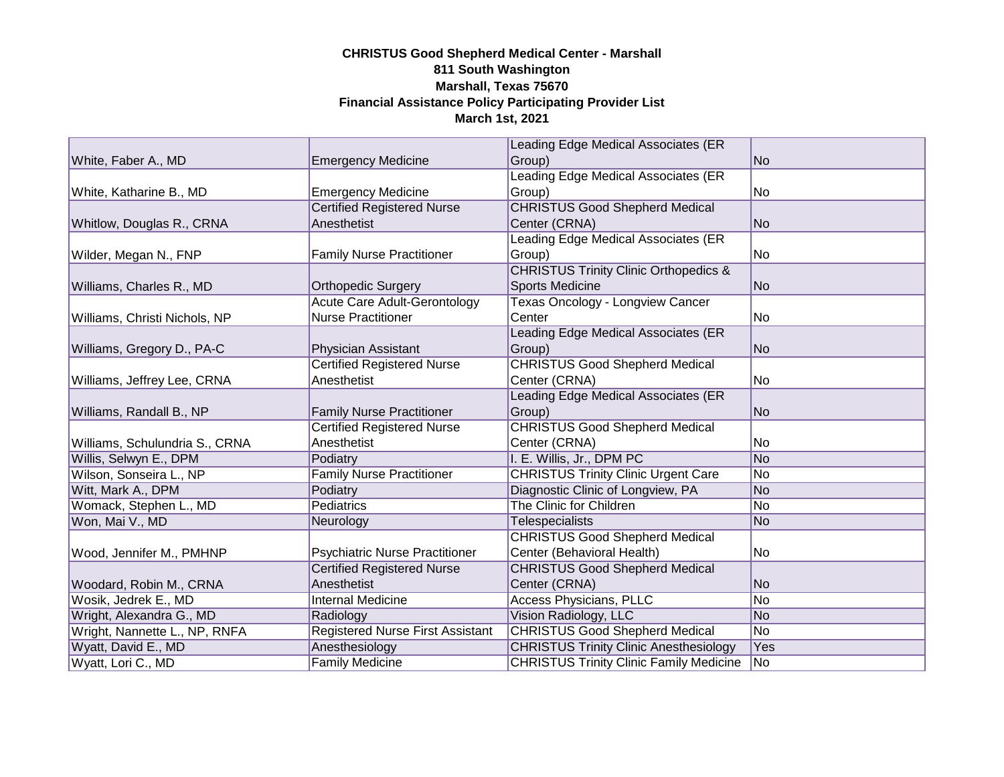|                                |                                         | Leading Edge Medical Associates (ER              |                |
|--------------------------------|-----------------------------------------|--------------------------------------------------|----------------|
| White, Faber A., MD            | <b>Emergency Medicine</b>               | Group)                                           | lNo.           |
|                                |                                         | Leading Edge Medical Associates (ER              |                |
| White, Katharine B., MD        | <b>Emergency Medicine</b>               | Group)                                           | No             |
|                                | <b>Certified Registered Nurse</b>       | <b>CHRISTUS Good Shepherd Medical</b>            |                |
| Whitlow, Douglas R., CRNA      | Anesthetist                             | Center (CRNA)                                    | No             |
|                                |                                         | Leading Edge Medical Associates (ER              |                |
| Wilder, Megan N., FNP          | <b>Family Nurse Practitioner</b>        | Group)                                           | No             |
|                                |                                         | <b>CHRISTUS Trinity Clinic Orthopedics &amp;</b> |                |
| Williams, Charles R., MD       | <b>Orthopedic Surgery</b>               | <b>Sports Medicine</b>                           | No             |
|                                | <b>Acute Care Adult-Gerontology</b>     | Texas Oncology - Longview Cancer                 |                |
| Williams, Christi Nichols, NP  | <b>Nurse Practitioner</b>               | Center                                           | No             |
|                                |                                         | Leading Edge Medical Associates (ER              |                |
| Williams, Gregory D., PA-C     | Physician Assistant                     | Group)                                           | lNo.           |
|                                | <b>Certified Registered Nurse</b>       | <b>CHRISTUS Good Shepherd Medical</b>            |                |
| Williams, Jeffrey Lee, CRNA    | Anesthetist                             | Center (CRNA)                                    | No             |
|                                |                                         | Leading Edge Medical Associates (ER              |                |
| Williams, Randall B., NP       | <b>Family Nurse Practitioner</b>        | Group)                                           | No             |
|                                | <b>Certified Registered Nurse</b>       | <b>CHRISTUS Good Shepherd Medical</b>            |                |
| Williams, Schulundria S., CRNA | Anesthetist                             | Center (CRNA)                                    | No             |
| Willis, Selwyn E., DPM         | Podiatry                                | I. E. Willis, Jr., DPM PC                        | No             |
| Wilson, Sonseira L., NP        | <b>Family Nurse Practitioner</b>        | <b>CHRISTUS Trinity Clinic Urgent Care</b>       | No             |
| Witt, Mark A., DPM             | Podiatry                                | Diagnostic Clinic of Longview, PA                | No             |
| Womack, Stephen L., MD         | Pediatrics                              | The Clinic for Children                          | lNo            |
| Won, Mai V., MD                | Neurology                               | <b>Telespecialists</b>                           | No             |
|                                |                                         | <b>CHRISTUS Good Shepherd Medical</b>            |                |
| Wood, Jennifer M., PMHNP       | <b>Psychiatric Nurse Practitioner</b>   | Center (Behavioral Health)                       | No             |
|                                | <b>Certified Registered Nurse</b>       | <b>CHRISTUS Good Shepherd Medical</b>            |                |
| Woodard, Robin M., CRNA        | Anesthetist                             | Center (CRNA)                                    | No             |
| Wosik, Jedrek E., MD           | <b>Internal Medicine</b>                | <b>Access Physicians, PLLC</b>                   | No             |
| Wright, Alexandra G., MD       | Radiology                               | Vision Radiology, LLC                            | No             |
| Wright, Nannette L., NP, RNFA  | <b>Registered Nurse First Assistant</b> | <b>CHRISTUS Good Shepherd Medical</b>            | No             |
| Wyatt, David E., MD            | Anesthesiology                          | <b>CHRISTUS Trinity Clinic Anesthesiology</b>    | Yes            |
| Wyatt, Lori C., MD             | <b>Family Medicine</b>                  | <b>CHRISTUS Trinity Clinic Family Medicine</b>   | N <sub>o</sub> |